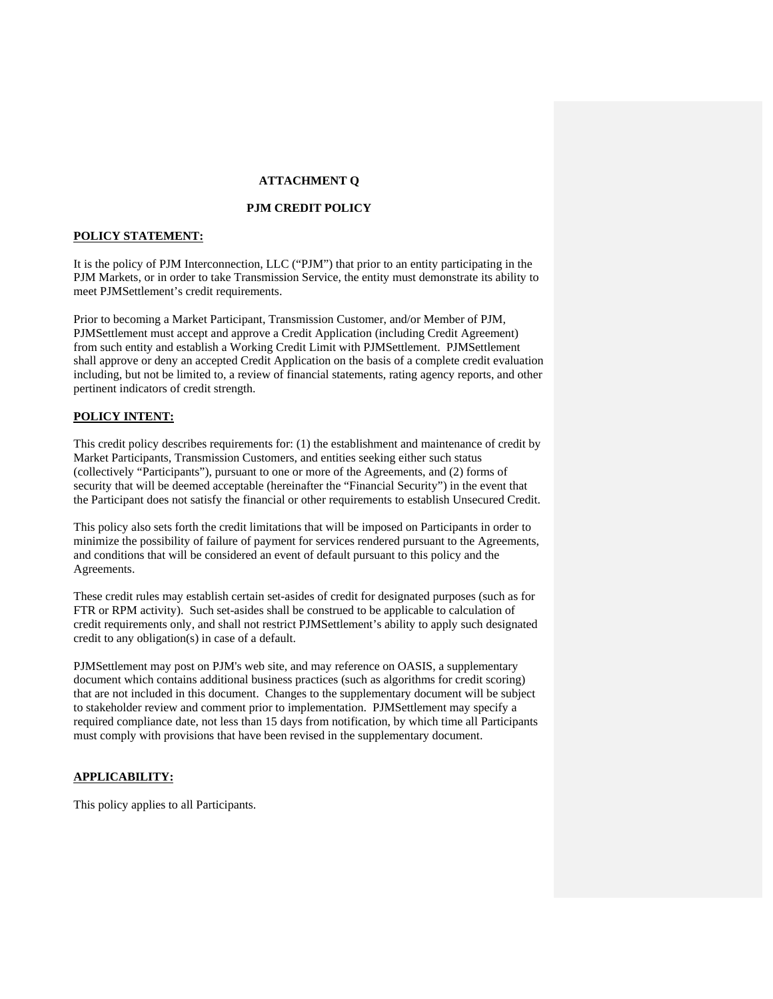# **ATTACHMENT Q**

## **PJM CREDIT POLICY**

#### **POLICY STATEMENT:**

It is the policy of PJM Interconnection, LLC ("PJM") that prior to an entity participating in the PJM Markets, or in order to take Transmission Service, the entity must demonstrate its ability to meet PJMSettlement's credit requirements.

Prior to becoming a Market Participant, Transmission Customer, and/or Member of PJM, PJMSettlement must accept and approve a Credit Application (including Credit Agreement) from such entity and establish a Working Credit Limit with PJMSettlement. PJMSettlement shall approve or deny an accepted Credit Application on the basis of a complete credit evaluation including, but not be limited to, a review of financial statements, rating agency reports, and other pertinent indicators of credit strength.

# **POLICY INTENT:**

This credit policy describes requirements for: (1) the establishment and maintenance of credit by Market Participants, Transmission Customers, and entities seeking either such status (collectively "Participants"), pursuant to one or more of the Agreements, and (2) forms of security that will be deemed acceptable (hereinafter the "Financial Security") in the event that the Participant does not satisfy the financial or other requirements to establish Unsecured Credit.

This policy also sets forth the credit limitations that will be imposed on Participants in order to minimize the possibility of failure of payment for services rendered pursuant to the Agreements, and conditions that will be considered an event of default pursuant to this policy and the Agreements.

These credit rules may establish certain set-asides of credit for designated purposes (such as for FTR or RPM activity). Such set-asides shall be construed to be applicable to calculation of credit requirements only, and shall not restrict PJMSettlement's ability to apply such designated credit to any obligation(s) in case of a default.

PJMSettlement may post on PJM's web site, and may reference on OASIS, a supplementary document which contains additional business practices (such as algorithms for credit scoring) that are not included in this document. Changes to the supplementary document will be subject to stakeholder review and comment prior to implementation. PJMSettlement may specify a required compliance date, not less than 15 days from notification, by which time all Participants must comply with provisions that have been revised in the supplementary document.

## **APPLICABILITY:**

This policy applies to all Participants.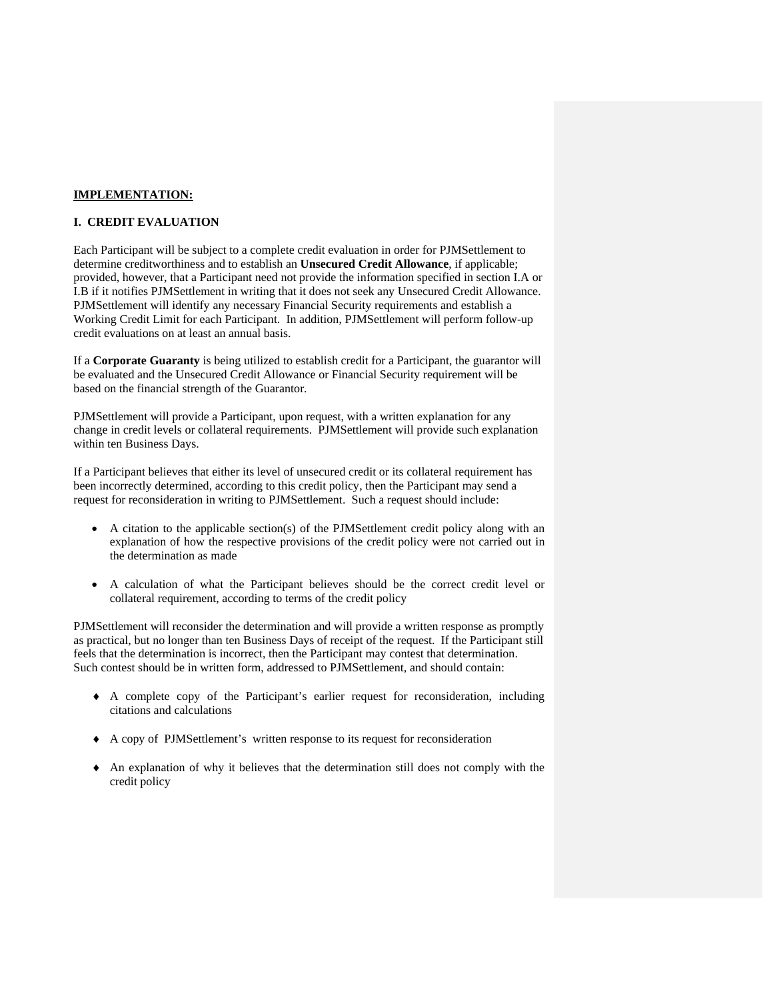## **IMPLEMENTATION:**

### **I. CREDIT EVALUATION**

Each Participant will be subject to a complete credit evaluation in order for PJMSettlement to determine creditworthiness and to establish an **Unsecured Credit Allowance**, if applicable; provided, however, that a Participant need not provide the information specified in section I.A or I.B if it notifies PJMSettlement in writing that it does not seek any Unsecured Credit Allowance. PJMSettlement will identify any necessary Financial Security requirements and establish a Working Credit Limit for each Participant. In addition, PJMSettlement will perform follow-up credit evaluations on at least an annual basis.

If a **Corporate Guaranty** is being utilized to establish credit for a Participant, the guarantor will be evaluated and the Unsecured Credit Allowance or Financial Security requirement will be based on the financial strength of the Guarantor.

PJMSettlement will provide a Participant, upon request, with a written explanation for any change in credit levels or collateral requirements. PJMSettlement will provide such explanation within ten Business Days.

If a Participant believes that either its level of unsecured credit or its collateral requirement has been incorrectly determined, according to this credit policy, then the Participant may send a request for reconsideration in writing to PJMSettlement. Such a request should include:

- A citation to the applicable section(s) of the PJMSettlement credit policy along with an explanation of how the respective provisions of the credit policy were not carried out in the determination as made
- A calculation of what the Participant believes should be the correct credit level or collateral requirement, according to terms of the credit policy

PJMSettlement will reconsider the determination and will provide a written response as promptly as practical, but no longer than ten Business Days of receipt of the request. If the Participant still feels that the determination is incorrect, then the Participant may contest that determination. Such contest should be in written form, addressed to PJMSettlement, and should contain:

- A complete copy of the Participant's earlier request for reconsideration, including citations and calculations
- A copy of PJMSettlement's written response to its request for reconsideration
- $\triangle$  An explanation of why it believes that the determination still does not comply with the credit policy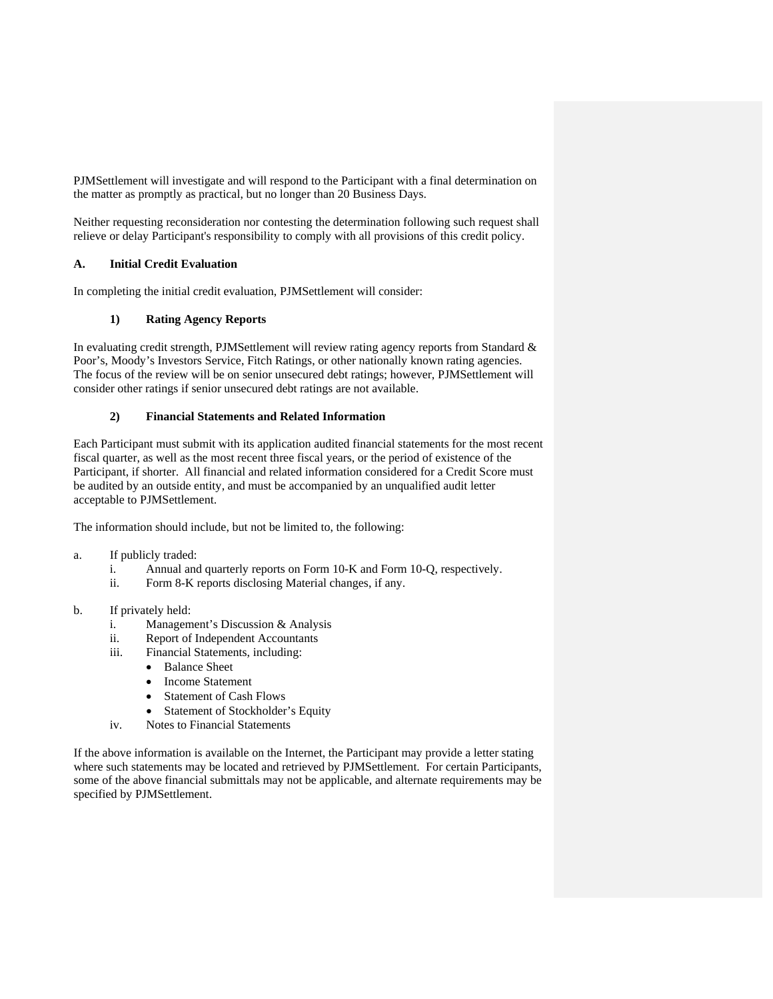PJMSettlement will investigate and will respond to the Participant with a final determination on the matter as promptly as practical, but no longer than 20 Business Days.

Neither requesting reconsideration nor contesting the determination following such request shall relieve or delay Participant's responsibility to comply with all provisions of this credit policy.

## **A. Initial Credit Evaluation**

In completing the initial credit evaluation, PJMSettlement will consider:

## **1) Rating Agency Reports**

In evaluating credit strength, PJMSettlement will review rating agency reports from Standard & Poor's, Moody's Investors Service, Fitch Ratings, or other nationally known rating agencies. The focus of the review will be on senior unsecured debt ratings; however, PJMSettlement will consider other ratings if senior unsecured debt ratings are not available.

### **2) Financial Statements and Related Information**

Each Participant must submit with its application audited financial statements for the most recent fiscal quarter, as well as the most recent three fiscal years, or the period of existence of the Participant, if shorter. All financial and related information considered for a Credit Score must be audited by an outside entity, and must be accompanied by an unqualified audit letter acceptable to PJMSettlement.

The information should include, but not be limited to, the following:

- a. If publicly traded:
	- i. Annual and quarterly reports on Form 10-K and Form 10-Q, respectively.
	- ii. Form 8-K reports disclosing Material changes, if any.
- b. If privately held:
	- i. Management's Discussion & Analysis
	- ii. Report of Independent Accountants
	- iii. Financial Statements, including:
		- Balance Sheet
		- Income Statement
		- Statement of Cash Flows
		- Statement of Stockholder's Equity
	- iv. Notes to Financial Statements

If the above information is available on the Internet, the Participant may provide a letter stating where such statements may be located and retrieved by PJMSettlement. For certain Participants, some of the above financial submittals may not be applicable, and alternate requirements may be specified by PJMSettlement.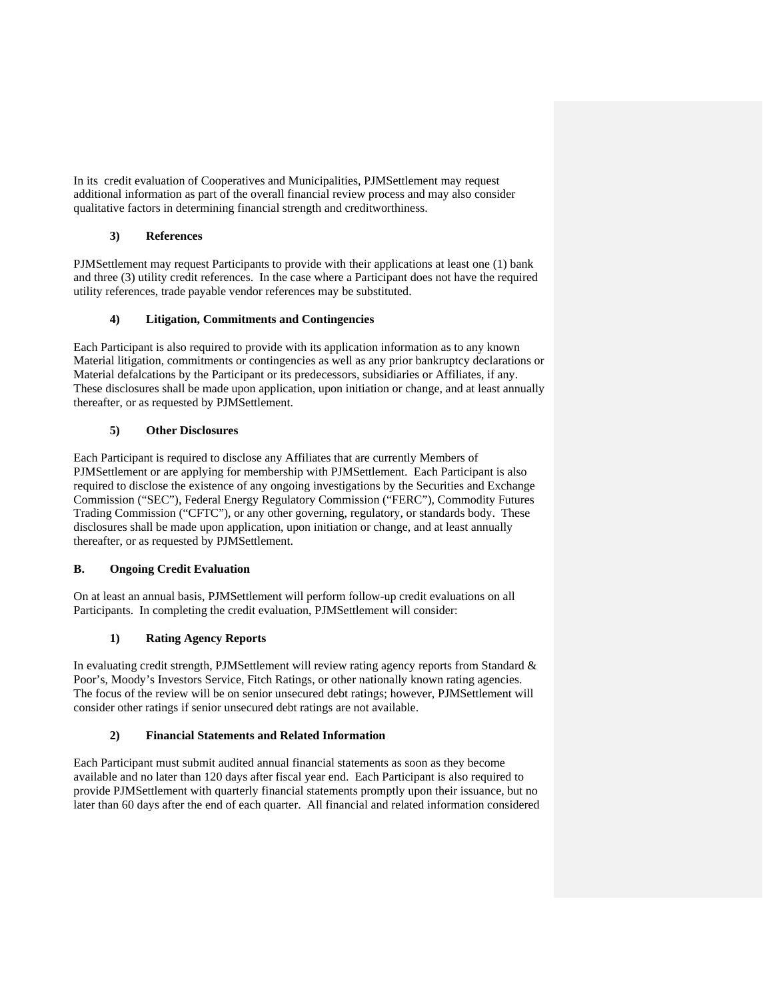In its credit evaluation of Cooperatives and Municipalities, PJMSettlement may request additional information as part of the overall financial review process and may also consider qualitative factors in determining financial strength and creditworthiness.

# **3) References**

PJMSettlement may request Participants to provide with their applications at least one (1) bank and three (3) utility credit references. In the case where a Participant does not have the required utility references, trade payable vendor references may be substituted.

## **4) Litigation, Commitments and Contingencies**

Each Participant is also required to provide with its application information as to any known Material litigation, commitments or contingencies as well as any prior bankruptcy declarations or Material defalcations by the Participant or its predecessors, subsidiaries or Affiliates, if any. These disclosures shall be made upon application, upon initiation or change, and at least annually thereafter, or as requested by PJMSettlement.

# **5) Other Disclosures**

Each Participant is required to disclose any Affiliates that are currently Members of PJMSettlement or are applying for membership with PJMSettlement. Each Participant is also required to disclose the existence of any ongoing investigations by the Securities and Exchange Commission ("SEC"), Federal Energy Regulatory Commission ("FERC"), Commodity Futures Trading Commission ("CFTC"), or any other governing, regulatory, or standards body. These disclosures shall be made upon application, upon initiation or change, and at least annually thereafter, or as requested by PJMSettlement.

# **B. Ongoing Credit Evaluation**

On at least an annual basis, PJMSettlement will perform follow-up credit evaluations on all Participants. In completing the credit evaluation, PJMSettlement will consider:

# **1) Rating Agency Reports**

In evaluating credit strength, PJMSettlement will review rating agency reports from Standard & Poor's, Moody's Investors Service, Fitch Ratings, or other nationally known rating agencies. The focus of the review will be on senior unsecured debt ratings; however, PJMSettlement will consider other ratings if senior unsecured debt ratings are not available.

## **2) Financial Statements and Related Information**

Each Participant must submit audited annual financial statements as soon as they become available and no later than 120 days after fiscal year end. Each Participant is also required to provide PJMSettlement with quarterly financial statements promptly upon their issuance, but no later than 60 days after the end of each quarter. All financial and related information considered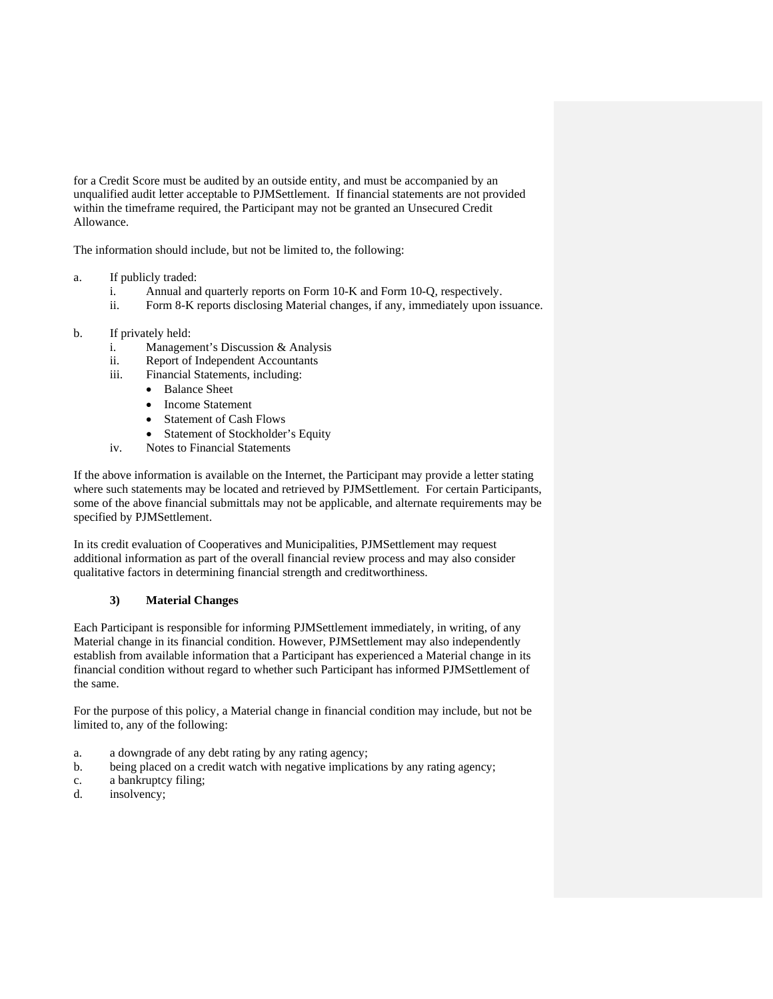for a Credit Score must be audited by an outside entity, and must be accompanied by an unqualified audit letter acceptable to PJMSettlement. If financial statements are not provided within the timeframe required, the Participant may not be granted an Unsecured Credit Allowance.

The information should include, but not be limited to, the following:

## a. If publicly traded:

- i. Annual and quarterly reports on Form 10-K and Form 10-Q, respectively.
- ii. Form 8-K reports disclosing Material changes, if any, immediately upon issuance.
- b. If privately held:
	- i. Management's Discussion & Analysis
	- ii. Report of Independent Accountants
	- iii. Financial Statements, including:
		- Balance Sheet
		- Income Statement
		- Statement of Cash Flows
		- Statement of Stockholder's Equity
	- iv. Notes to Financial Statements

If the above information is available on the Internet, the Participant may provide a letter stating where such statements may be located and retrieved by PJMSettlement. For certain Participants, some of the above financial submittals may not be applicable, and alternate requirements may be specified by PJMSettlement.

In its credit evaluation of Cooperatives and Municipalities, PJMSettlement may request additional information as part of the overall financial review process and may also consider qualitative factors in determining financial strength and creditworthiness.

## **3) Material Changes**

Each Participant is responsible for informing PJMSettlement immediately, in writing, of any Material change in its financial condition. However, PJMSettlement may also independently establish from available information that a Participant has experienced a Material change in its financial condition without regard to whether such Participant has informed PJMSettlement of the same.

For the purpose of this policy, a Material change in financial condition may include, but not be limited to, any of the following:

- a. a downgrade of any debt rating by any rating agency;
- b. being placed on a credit watch with negative implications by any rating agency;
- c. a bankruptcy filing;
- d. insolvency;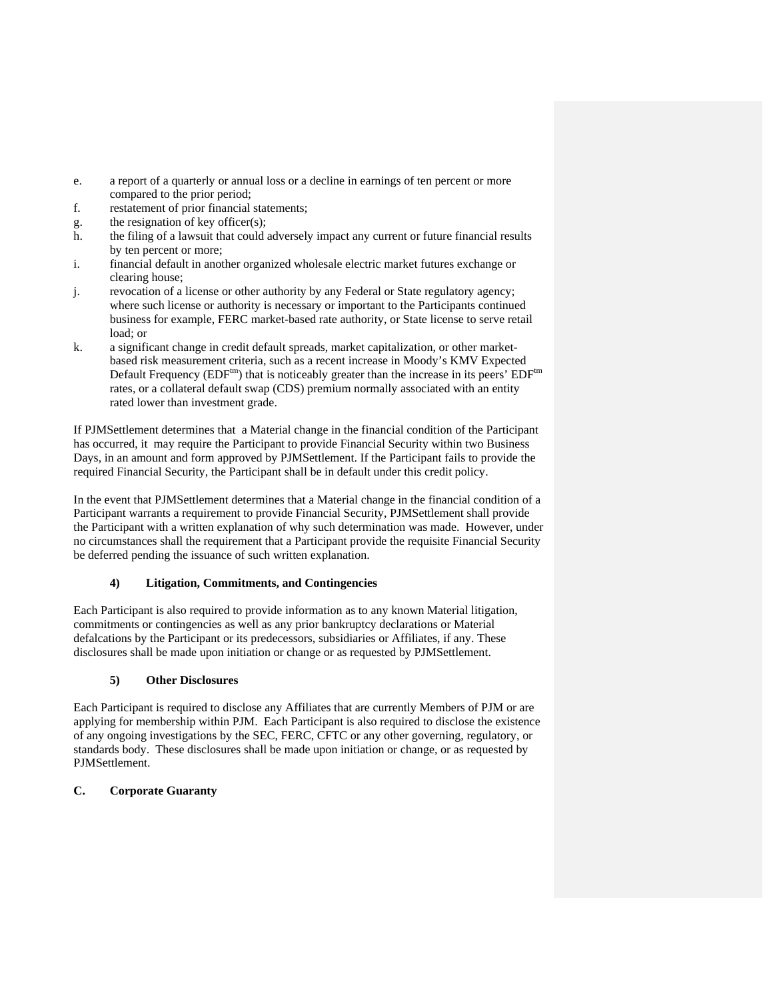- e. a report of a quarterly or annual loss or a decline in earnings of ten percent or more compared to the prior period;
- f. restatement of prior financial statements;
- g. the resignation of key officer(s);
- h. the filing of a lawsuit that could adversely impact any current or future financial results by ten percent or more;
- i. financial default in another organized wholesale electric market futures exchange or clearing house;
- j. revocation of a license or other authority by any Federal or State regulatory agency; where such license or authority is necessary or important to the Participants continued business for example, FERC market-based rate authority, or State license to serve retail load; or
- k. a significant change in credit default spreads, market capitalization, or other marketbased risk measurement criteria, such as a recent increase in Moody's KMV Expected Default Frequency ( $EDF^{tm}$ ) that is noticeably greater than the increase in its peers'  $EDF^{tm}$ rates, or a collateral default swap (CDS) premium normally associated with an entity rated lower than investment grade.

If PJMSettlement determines that a Material change in the financial condition of the Participant has occurred, it may require the Participant to provide Financial Security within two Business Days, in an amount and form approved by PJMSettlement. If the Participant fails to provide the required Financial Security, the Participant shall be in default under this credit policy.

In the event that PJMSettlement determines that a Material change in the financial condition of a Participant warrants a requirement to provide Financial Security, PJMSettlement shall provide the Participant with a written explanation of why such determination was made. However, under no circumstances shall the requirement that a Participant provide the requisite Financial Security be deferred pending the issuance of such written explanation.

# **4) Litigation, Commitments, and Contingencies**

Each Participant is also required to provide information as to any known Material litigation, commitments or contingencies as well as any prior bankruptcy declarations or Material defalcations by the Participant or its predecessors, subsidiaries or Affiliates, if any. These disclosures shall be made upon initiation or change or as requested by PJMSettlement.

# **5) Other Disclosures**

Each Participant is required to disclose any Affiliates that are currently Members of PJM or are applying for membership within PJM. Each Participant is also required to disclose the existence of any ongoing investigations by the SEC, FERC, CFTC or any other governing, regulatory, or standards body. These disclosures shall be made upon initiation or change, or as requested by PJMSettlement.

## **C. Corporate Guaranty**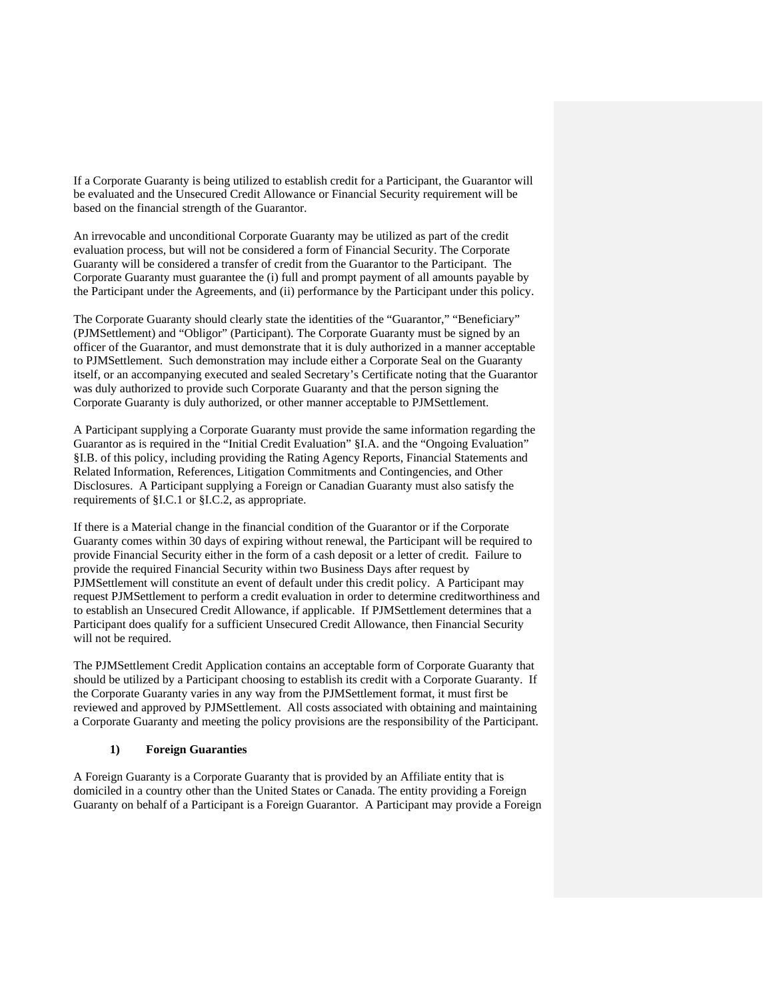If a Corporate Guaranty is being utilized to establish credit for a Participant, the Guarantor will be evaluated and the Unsecured Credit Allowance or Financial Security requirement will be based on the financial strength of the Guarantor.

An irrevocable and unconditional Corporate Guaranty may be utilized as part of the credit evaluation process, but will not be considered a form of Financial Security. The Corporate Guaranty will be considered a transfer of credit from the Guarantor to the Participant. The Corporate Guaranty must guarantee the (i) full and prompt payment of all amounts payable by the Participant under the Agreements, and (ii) performance by the Participant under this policy.

The Corporate Guaranty should clearly state the identities of the "Guarantor," "Beneficiary" (PJMSettlement) and "Obligor" (Participant). The Corporate Guaranty must be signed by an officer of the Guarantor, and must demonstrate that it is duly authorized in a manner acceptable to PJMSettlement. Such demonstration may include either a Corporate Seal on the Guaranty itself, or an accompanying executed and sealed Secretary's Certificate noting that the Guarantor was duly authorized to provide such Corporate Guaranty and that the person signing the Corporate Guaranty is duly authorized, or other manner acceptable to PJMSettlement.

A Participant supplying a Corporate Guaranty must provide the same information regarding the Guarantor as is required in the "Initial Credit Evaluation" §I.A. and the "Ongoing Evaluation" §I.B. of this policy, including providing the Rating Agency Reports, Financial Statements and Related Information, References, Litigation Commitments and Contingencies, and Other Disclosures. A Participant supplying a Foreign or Canadian Guaranty must also satisfy the requirements of §I.C.1 or §I.C.2, as appropriate.

If there is a Material change in the financial condition of the Guarantor or if the Corporate Guaranty comes within 30 days of expiring without renewal, the Participant will be required to provide Financial Security either in the form of a cash deposit or a letter of credit. Failure to provide the required Financial Security within two Business Days after request by PJMSettlement will constitute an event of default under this credit policy. A Participant may request PJMSettlement to perform a credit evaluation in order to determine creditworthiness and to establish an Unsecured Credit Allowance, if applicable. If PJMSettlement determines that a Participant does qualify for a sufficient Unsecured Credit Allowance, then Financial Security will not be required.

The PJMSettlement Credit Application contains an acceptable form of Corporate Guaranty that should be utilized by a Participant choosing to establish its credit with a Corporate Guaranty. If the Corporate Guaranty varies in any way from the PJMSettlement format, it must first be reviewed and approved by PJMSettlement. All costs associated with obtaining and maintaining a Corporate Guaranty and meeting the policy provisions are the responsibility of the Participant.

#### **1) Foreign Guaranties**

A Foreign Guaranty is a Corporate Guaranty that is provided by an Affiliate entity that is domiciled in a country other than the United States or Canada. The entity providing a Foreign Guaranty on behalf of a Participant is a Foreign Guarantor. A Participant may provide a Foreign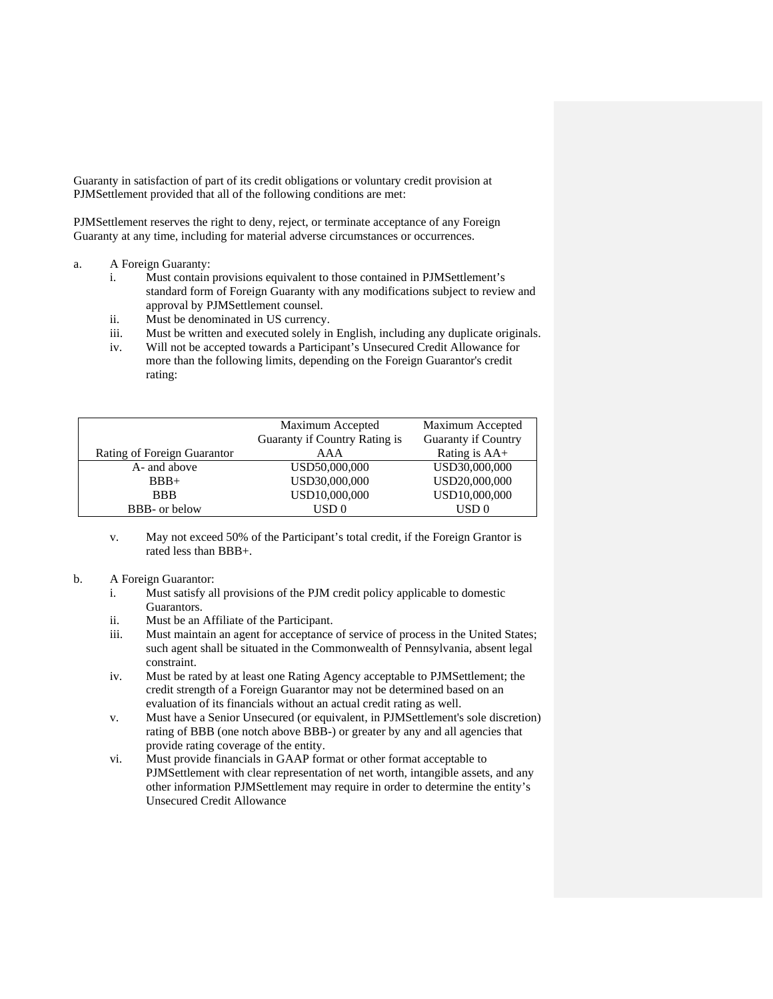Guaranty in satisfaction of part of its credit obligations or voluntary credit provision at PJMSettlement provided that all of the following conditions are met:

PJMSettlement reserves the right to deny, reject, or terminate acceptance of any Foreign Guaranty at any time, including for material adverse circumstances or occurrences.

#### a. A Foreign Guaranty:

- i. Must contain provisions equivalent to those contained in PJMSettlement's standard form of Foreign Guaranty with any modifications subject to review and approval by PJMSettlement counsel.
- ii. Must be denominated in US currency.
- iii. Must be written and executed solely in English, including any duplicate originals.
- iv. Will not be accepted towards a Participant's Unsecured Credit Allowance for more than the following limits, depending on the Foreign Guarantor's credit rating:

|                             | Maximum Accepted              | Maximum Accepted           |  |
|-----------------------------|-------------------------------|----------------------------|--|
|                             | Guaranty if Country Rating is | <b>Guaranty if Country</b> |  |
| Rating of Foreign Guarantor | AAA                           | Rating is AA+              |  |
| A- and above                | USD50,000,000                 | USD30,000,000              |  |
| $BBB+$                      | USD30,000,000                 | USD20,000,000              |  |
| <b>BBB</b>                  | USD10,000,000                 | USD10,000,000              |  |
| <b>BBB-</b> or below        | USD 0                         | USD 0                      |  |

v. May not exceed 50% of the Participant's total credit, if the Foreign Grantor is rated less than BBB+.

#### b. A Foreign Guarantor:

- i. Must satisfy all provisions of the PJM credit policy applicable to domestic Guarantors.
- ii. Must be an Affiliate of the Participant.
- iii. Must maintain an agent for acceptance of service of process in the United States; such agent shall be situated in the Commonwealth of Pennsylvania, absent legal constraint.
- iv. Must be rated by at least one Rating Agency acceptable to PJMSettlement; the credit strength of a Foreign Guarantor may not be determined based on an evaluation of its financials without an actual credit rating as well.
- v. Must have a Senior Unsecured (or equivalent, in PJMSettlement's sole discretion) rating of BBB (one notch above BBB-) or greater by any and all agencies that provide rating coverage of the entity.
- vi. Must provide financials in GAAP format or other format acceptable to PJMSettlement with clear representation of net worth, intangible assets, and any other information PJMSettlement may require in order to determine the entity's Unsecured Credit Allowance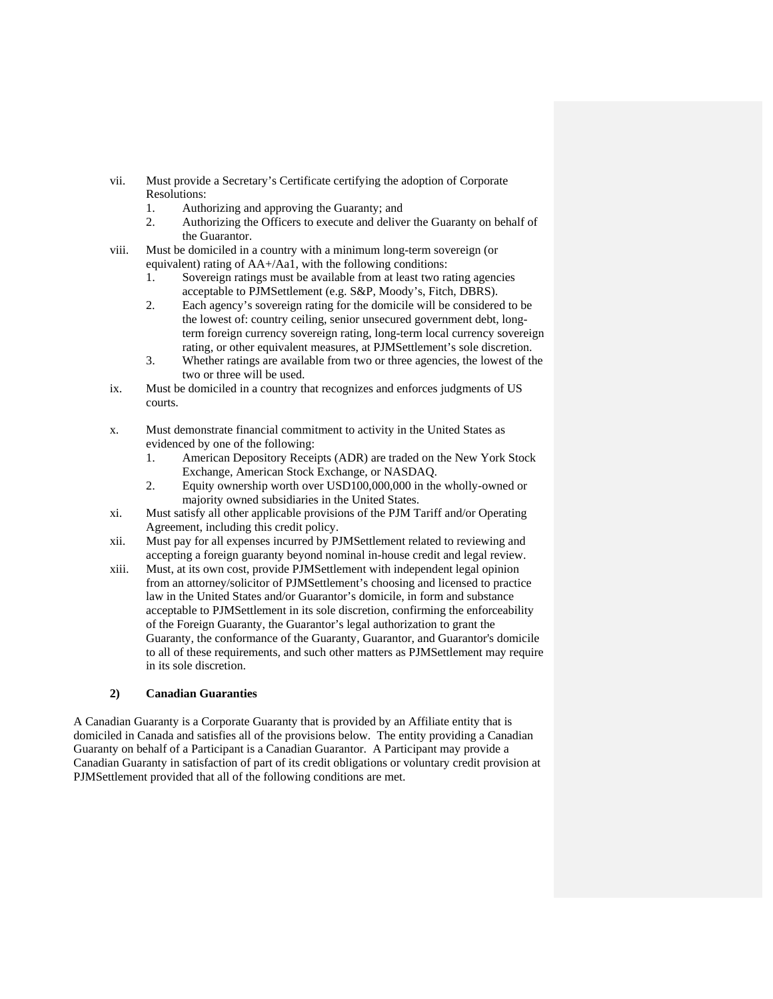- vii. Must provide a Secretary's Certificate certifying the adoption of Corporate Resolutions:
	- 1. Authorizing and approving the Guaranty; and
	- 2. Authorizing the Officers to execute and deliver the Guaranty on behalf of the Guarantor.
- viii. Must be domiciled in a country with a minimum long-term sovereign (or equivalent) rating of AA+/Aa1, with the following conditions:
	- 1. Sovereign ratings must be available from at least two rating agencies acceptable to PJMSettlement (e.g. S&P, Moody's, Fitch, DBRS).
	- 2. Each agency's sovereign rating for the domicile will be considered to be the lowest of: country ceiling, senior unsecured government debt, longterm foreign currency sovereign rating, long-term local currency sovereign rating, or other equivalent measures, at PJMSettlement's sole discretion.
	- 3. Whether ratings are available from two or three agencies, the lowest of the two or three will be used.
- ix. Must be domiciled in a country that recognizes and enforces judgments of US courts.
- x. Must demonstrate financial commitment to activity in the United States as evidenced by one of the following:
	- 1. American Depository Receipts (ADR) are traded on the New York Stock Exchange, American Stock Exchange, or NASDAQ.
	- 2. Equity ownership worth over USD100,000,000 in the wholly-owned or majority owned subsidiaries in the United States.
- xi. Must satisfy all other applicable provisions of the PJM Tariff and/or Operating Agreement, including this credit policy.
- xii. Must pay for all expenses incurred by PJMSettlement related to reviewing and accepting a foreign guaranty beyond nominal in-house credit and legal review.
- xiii. Must, at its own cost, provide PJMSettlement with independent legal opinion from an attorney/solicitor of PJMSettlement's choosing and licensed to practice law in the United States and/or Guarantor's domicile, in form and substance acceptable to PJMSettlement in its sole discretion, confirming the enforceability of the Foreign Guaranty, the Guarantor's legal authorization to grant the Guaranty, the conformance of the Guaranty, Guarantor, and Guarantor's domicile to all of these requirements, and such other matters as PJMSettlement may require in its sole discretion.

# **2) Canadian Guaranties**

A Canadian Guaranty is a Corporate Guaranty that is provided by an Affiliate entity that is domiciled in Canada and satisfies all of the provisions below. The entity providing a Canadian Guaranty on behalf of a Participant is a Canadian Guarantor. A Participant may provide a Canadian Guaranty in satisfaction of part of its credit obligations or voluntary credit provision at PJMSettlement provided that all of the following conditions are met.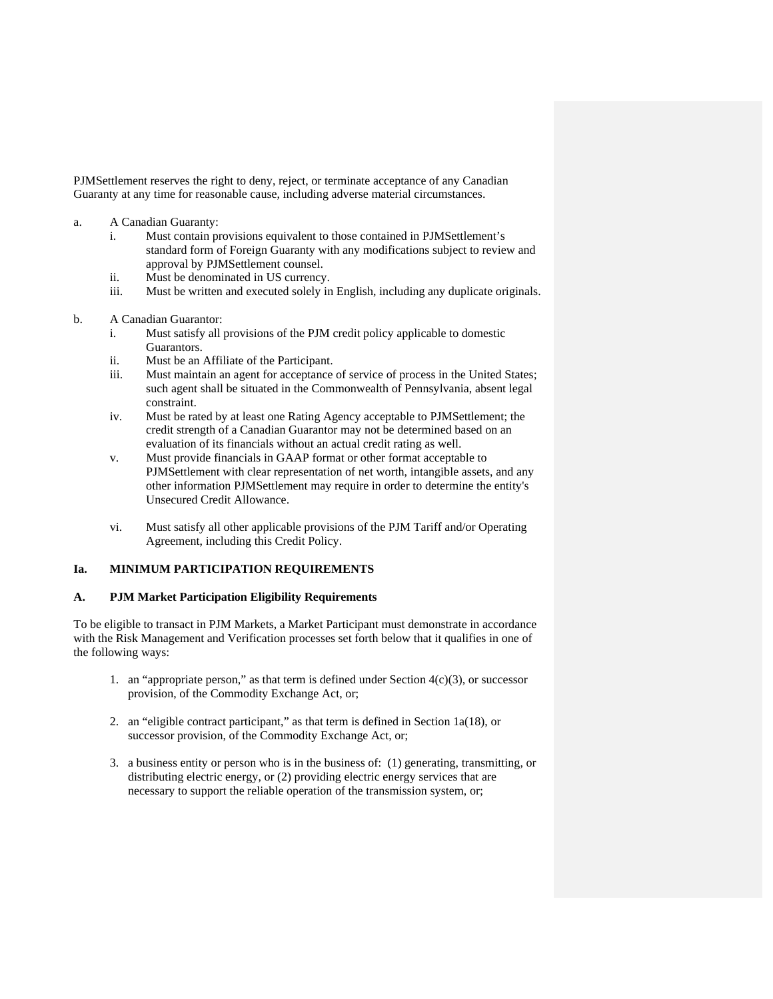PJMSettlement reserves the right to deny, reject, or terminate acceptance of any Canadian Guaranty at any time for reasonable cause, including adverse material circumstances.

- a. A Canadian Guaranty:
	- i. Must contain provisions equivalent to those contained in PJMSettlement's standard form of Foreign Guaranty with any modifications subject to review and approval by PJMSettlement counsel.
	- ii. Must be denominated in US currency.
	- iii. Must be written and executed solely in English, including any duplicate originals.
- b. A Canadian Guarantor:
	- i. Must satisfy all provisions of the PJM credit policy applicable to domestic Guarantors.
	- ii. Must be an Affiliate of the Participant.
	- iii. Must maintain an agent for acceptance of service of process in the United States; such agent shall be situated in the Commonwealth of Pennsylvania, absent legal constraint.
	- iv. Must be rated by at least one Rating Agency acceptable to PJMSettlement; the credit strength of a Canadian Guarantor may not be determined based on an evaluation of its financials without an actual credit rating as well.
	- v. Must provide financials in GAAP format or other format acceptable to PJMSettlement with clear representation of net worth, intangible assets, and any other information PJMSettlement may require in order to determine the entity's Unsecured Credit Allowance.
	- vi. Must satisfy all other applicable provisions of the PJM Tariff and/or Operating Agreement, including this Credit Policy.

### **Ia. MINIMUM PARTICIPATION REQUIREMENTS**

#### **A. PJM Market Participation Eligibility Requirements**

To be eligible to transact in PJM Markets, a Market Participant must demonstrate in accordance with the Risk Management and Verification processes set forth below that it qualifies in one of the following ways:

- 1. an "appropriate person," as that term is defined under Section  $4(c)(3)$ , or successor provision, of the Commodity Exchange Act, or;
- 2. an "eligible contract participant," as that term is defined in Section 1a(18), or successor provision, of the Commodity Exchange Act, or;
- 3. a business entity or person who is in the business of: (1) generating, transmitting, or distributing electric energy, or (2) providing electric energy services that are necessary to support the reliable operation of the transmission system, or;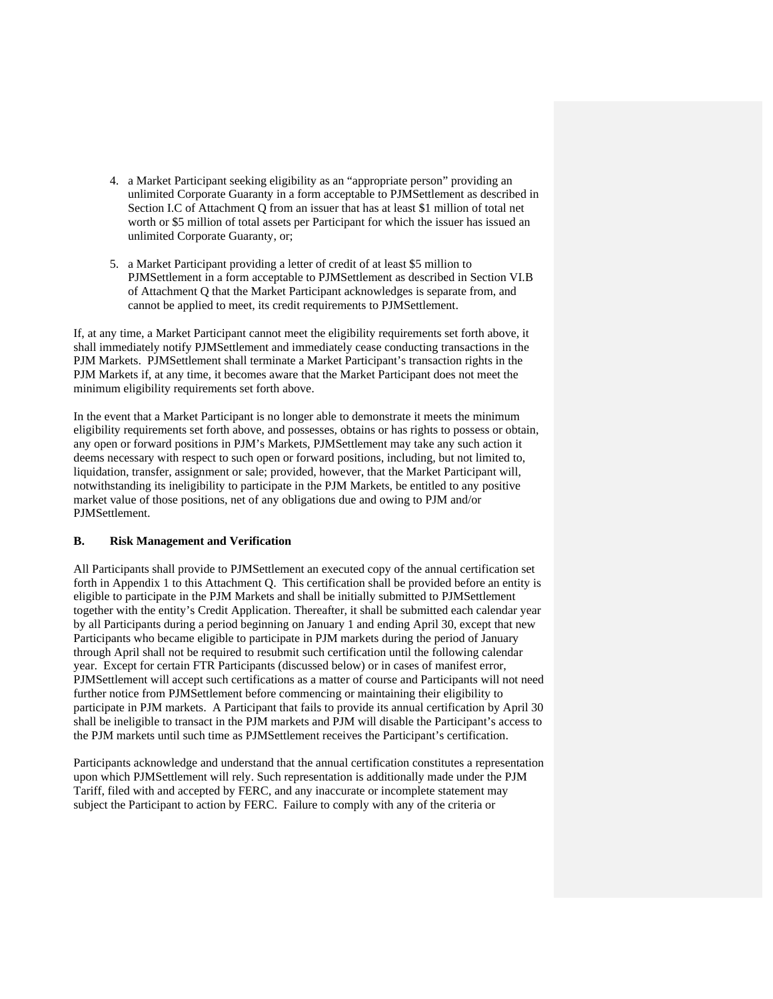- 4. a Market Participant seeking eligibility as an "appropriate person" providing an unlimited Corporate Guaranty in a form acceptable to PJMSettlement as described in Section I.C of Attachment Q from an issuer that has at least \$1 million of total net worth or \$5 million of total assets per Participant for which the issuer has issued an unlimited Corporate Guaranty, or;
- 5. a Market Participant providing a letter of credit of at least \$5 million to PJMSettlement in a form acceptable to PJMSettlement as described in Section VI.B of Attachment Q that the Market Participant acknowledges is separate from, and cannot be applied to meet, its credit requirements to PJMSettlement.

If, at any time, a Market Participant cannot meet the eligibility requirements set forth above, it shall immediately notify PJMSettlement and immediately cease conducting transactions in the PJM Markets. PJMSettlement shall terminate a Market Participant's transaction rights in the PJM Markets if, at any time, it becomes aware that the Market Participant does not meet the minimum eligibility requirements set forth above.

In the event that a Market Participant is no longer able to demonstrate it meets the minimum eligibility requirements set forth above, and possesses, obtains or has rights to possess or obtain, any open or forward positions in PJM's Markets, PJMSettlement may take any such action it deems necessary with respect to such open or forward positions, including, but not limited to, liquidation, transfer, assignment or sale; provided, however, that the Market Participant will, notwithstanding its ineligibility to participate in the PJM Markets, be entitled to any positive market value of those positions, net of any obligations due and owing to PJM and/or PJMSettlement.

#### **B. Risk Management and Verification**

All Participants shall provide to PJMSettlement an executed copy of the annual certification set forth in Appendix 1 to this Attachment Q. This certification shall be provided before an entity is eligible to participate in the PJM Markets and shall be initially submitted to PJMSettlement together with the entity's Credit Application. Thereafter, it shall be submitted each calendar year by all Participants during a period beginning on January 1 and ending April 30, except that new Participants who became eligible to participate in PJM markets during the period of January through April shall not be required to resubmit such certification until the following calendar year. Except for certain FTR Participants (discussed below) or in cases of manifest error, PJMSettlement will accept such certifications as a matter of course and Participants will not need further notice from PJMSettlement before commencing or maintaining their eligibility to participate in PJM markets. A Participant that fails to provide its annual certification by April 30 shall be ineligible to transact in the PJM markets and PJM will disable the Participant's access to the PJM markets until such time as PJMSettlement receives the Participant's certification.

Participants acknowledge and understand that the annual certification constitutes a representation upon which PJMSettlement will rely. Such representation is additionally made under the PJM Tariff, filed with and accepted by FERC, and any inaccurate or incomplete statement may subject the Participant to action by FERC. Failure to comply with any of the criteria or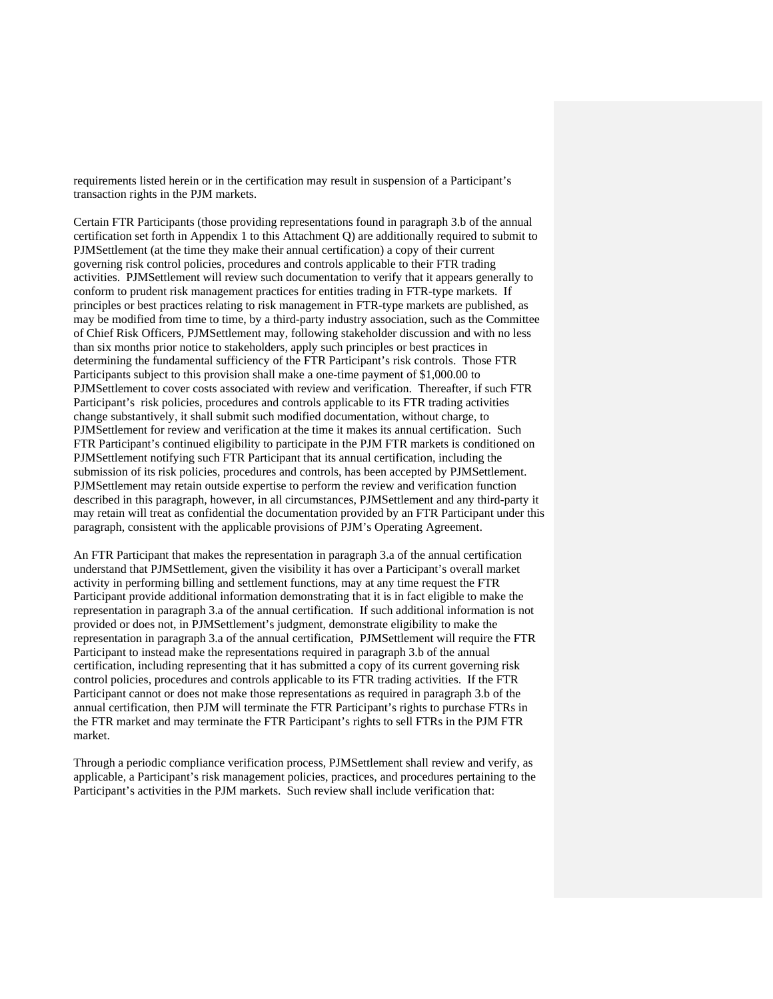requirements listed herein or in the certification may result in suspension of a Participant's transaction rights in the PJM markets.

Certain FTR Participants (those providing representations found in paragraph 3.b of the annual certification set forth in Appendix 1 to this Attachment Q) are additionally required to submit to PJMSettlement (at the time they make their annual certification) a copy of their current governing risk control policies, procedures and controls applicable to their FTR trading activities. PJMSettlement will review such documentation to verify that it appears generally to conform to prudent risk management practices for entities trading in FTR-type markets. If principles or best practices relating to risk management in FTR-type markets are published, as may be modified from time to time, by a third-party industry association, such as the Committee of Chief Risk Officers, PJMSettlement may, following stakeholder discussion and with no less than six months prior notice to stakeholders, apply such principles or best practices in determining the fundamental sufficiency of the FTR Participant's risk controls. Those FTR Participants subject to this provision shall make a one-time payment of \$1,000.00 to PJMSettlement to cover costs associated with review and verification. Thereafter, if such FTR Participant's risk policies, procedures and controls applicable to its FTR trading activities change substantively, it shall submit such modified documentation, without charge, to PJMSettlement for review and verification at the time it makes its annual certification. Such FTR Participant's continued eligibility to participate in the PJM FTR markets is conditioned on PJMSettlement notifying such FTR Participant that its annual certification, including the submission of its risk policies, procedures and controls, has been accepted by PJMSettlement. PJMSettlement may retain outside expertise to perform the review and verification function described in this paragraph, however, in all circumstances, PJMSettlement and any third-party it may retain will treat as confidential the documentation provided by an FTR Participant under this paragraph, consistent with the applicable provisions of PJM's Operating Agreement.

An FTR Participant that makes the representation in paragraph 3.a of the annual certification understand that PJMSettlement, given the visibility it has over a Participant's overall market activity in performing billing and settlement functions, may at any time request the FTR Participant provide additional information demonstrating that it is in fact eligible to make the representation in paragraph 3.a of the annual certification. If such additional information is not provided or does not, in PJMSettlement's judgment, demonstrate eligibility to make the representation in paragraph 3.a of the annual certification, PJMSettlement will require the FTR Participant to instead make the representations required in paragraph 3.b of the annual certification, including representing that it has submitted a copy of its current governing risk control policies, procedures and controls applicable to its FTR trading activities. If the FTR Participant cannot or does not make those representations as required in paragraph 3.b of the annual certification, then PJM will terminate the FTR Participant's rights to purchase FTRs in the FTR market and may terminate the FTR Participant's rights to sell FTRs in the PJM FTR market.

Through a periodic compliance verification process, PJMSettlement shall review and verify, as applicable, a Participant's risk management policies, practices, and procedures pertaining to the Participant's activities in the PJM markets. Such review shall include verification that: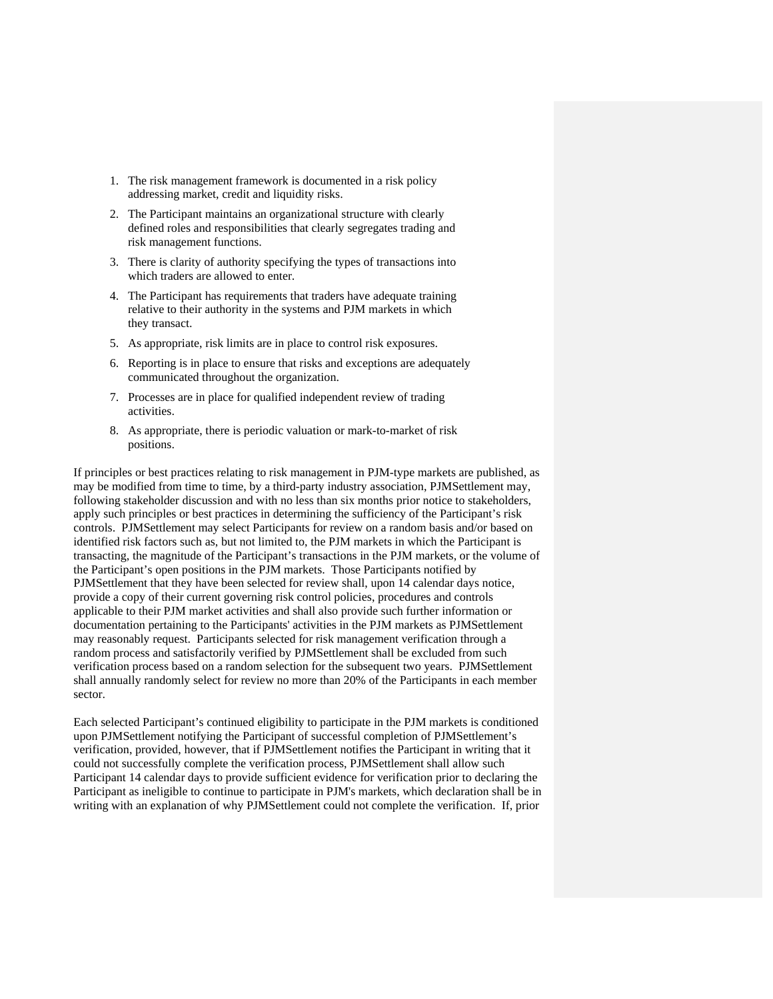- 1. The risk management framework is documented in a risk policy addressing market, credit and liquidity risks.
- 2. The Participant maintains an organizational structure with clearly defined roles and responsibilities that clearly segregates trading and risk management functions.
- 3. There is clarity of authority specifying the types of transactions into which traders are allowed to enter.
- 4. The Participant has requirements that traders have adequate training relative to their authority in the systems and PJM markets in which they transact.
- 5. As appropriate, risk limits are in place to control risk exposures.
- 6. Reporting is in place to ensure that risks and exceptions are adequately communicated throughout the organization.
- 7. Processes are in place for qualified independent review of trading activities.
- 8. As appropriate, there is periodic valuation or mark-to-market of risk positions.

If principles or best practices relating to risk management in PJM-type markets are published, as may be modified from time to time, by a third-party industry association, PJMSettlement may, following stakeholder discussion and with no less than six months prior notice to stakeholders, apply such principles or best practices in determining the sufficiency of the Participant's risk controls. PJMSettlement may select Participants for review on a random basis and/or based on identified risk factors such as, but not limited to, the PJM markets in which the Participant is transacting, the magnitude of the Participant's transactions in the PJM markets, or the volume of the Participant's open positions in the PJM markets. Those Participants notified by PJMSettlement that they have been selected for review shall, upon 14 calendar days notice, provide a copy of their current governing risk control policies, procedures and controls applicable to their PJM market activities and shall also provide such further information or documentation pertaining to the Participants' activities in the PJM markets as PJMSettlement may reasonably request. Participants selected for risk management verification through a random process and satisfactorily verified by PJMSettlement shall be excluded from such verification process based on a random selection for the subsequent two years. PJMSettlement shall annually randomly select for review no more than 20% of the Participants in each member sector.

Each selected Participant's continued eligibility to participate in the PJM markets is conditioned upon PJMSettlement notifying the Participant of successful completion of PJMSettlement's verification, provided, however, that if PJMSettlement notifies the Participant in writing that it could not successfully complete the verification process, PJMSettlement shall allow such Participant 14 calendar days to provide sufficient evidence for verification prior to declaring the Participant as ineligible to continue to participate in PJM's markets, which declaration shall be in writing with an explanation of why PJMSettlement could not complete the verification. If, prior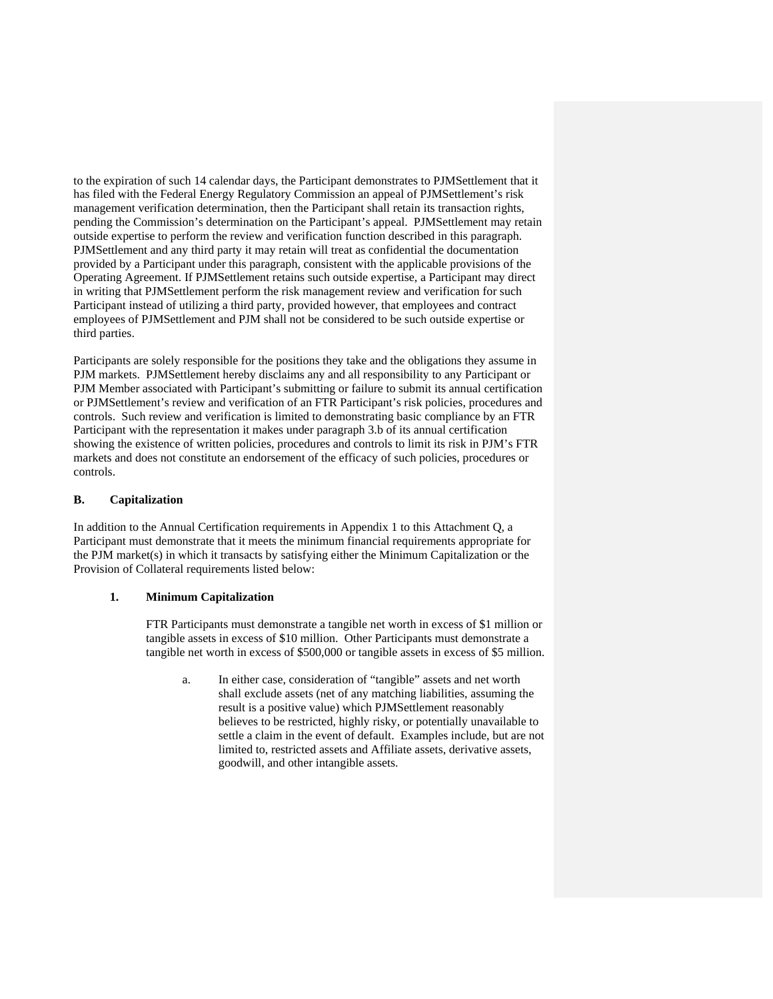to the expiration of such 14 calendar days, the Participant demonstrates to PJMSettlement that it has filed with the Federal Energy Regulatory Commission an appeal of PJMSettlement's risk management verification determination, then the Participant shall retain its transaction rights, pending the Commission's determination on the Participant's appeal. PJMSettlement may retain outside expertise to perform the review and verification function described in this paragraph. PJMSettlement and any third party it may retain will treat as confidential the documentation provided by a Participant under this paragraph, consistent with the applicable provisions of the Operating Agreement. If PJMSettlement retains such outside expertise, a Participant may direct in writing that PJMSettlement perform the risk management review and verification for such Participant instead of utilizing a third party, provided however, that employees and contract employees of PJMSettlement and PJM shall not be considered to be such outside expertise or third parties.

Participants are solely responsible for the positions they take and the obligations they assume in PJM markets. PJMSettlement hereby disclaims any and all responsibility to any Participant or PJM Member associated with Participant's submitting or failure to submit its annual certification or PJMSettlement's review and verification of an FTR Participant's risk policies, procedures and controls. Such review and verification is limited to demonstrating basic compliance by an FTR Participant with the representation it makes under paragraph 3.b of its annual certification showing the existence of written policies, procedures and controls to limit its risk in PJM's FTR markets and does not constitute an endorsement of the efficacy of such policies, procedures or controls.

#### **B. Capitalization**

In addition to the Annual Certification requirements in Appendix 1 to this Attachment Q, a Participant must demonstrate that it meets the minimum financial requirements appropriate for the PJM market(s) in which it transacts by satisfying either the Minimum Capitalization or the Provision of Collateral requirements listed below:

#### **1. Minimum Capitalization**

FTR Participants must demonstrate a tangible net worth in excess of \$1 million or tangible assets in excess of \$10 million. Other Participants must demonstrate a tangible net worth in excess of \$500,000 or tangible assets in excess of \$5 million.

a. In either case, consideration of "tangible" assets and net worth shall exclude assets (net of any matching liabilities, assuming the result is a positive value) which PJMSettlement reasonably believes to be restricted, highly risky, or potentially unavailable to settle a claim in the event of default. Examples include, but are not limited to, restricted assets and Affiliate assets, derivative assets, goodwill, and other intangible assets.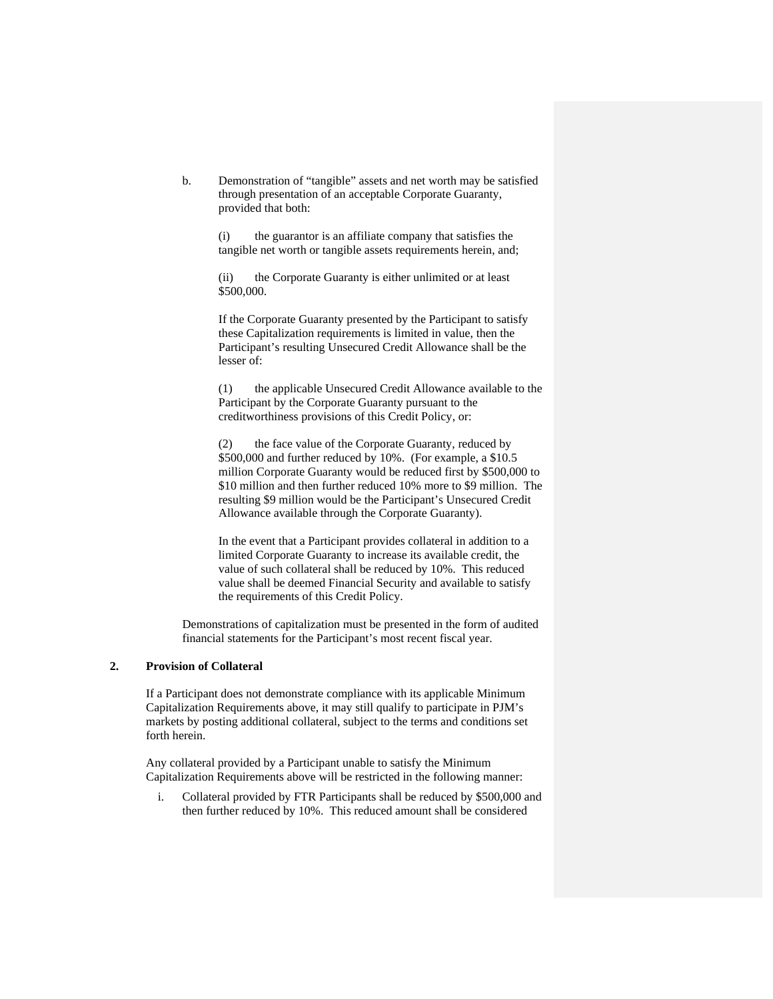b. Demonstration of "tangible" assets and net worth may be satisfied through presentation of an acceptable Corporate Guaranty, provided that both:

> (i) the guarantor is an affiliate company that satisfies the tangible net worth or tangible assets requirements herein, and;

 (ii) the Corporate Guaranty is either unlimited or at least \$500,000.

 If the Corporate Guaranty presented by the Participant to satisfy these Capitalization requirements is limited in value, then the Participant's resulting Unsecured Credit Allowance shall be the lesser of:

 (1) the applicable Unsecured Credit Allowance available to the Participant by the Corporate Guaranty pursuant to the creditworthiness provisions of this Credit Policy, or:

 (2) the face value of the Corporate Guaranty, reduced by \$500,000 and further reduced by 10%. (For example, a \$10.5 million Corporate Guaranty would be reduced first by \$500,000 to \$10 million and then further reduced 10% more to \$9 million. The resulting \$9 million would be the Participant's Unsecured Credit Allowance available through the Corporate Guaranty).

 In the event that a Participant provides collateral in addition to a limited Corporate Guaranty to increase its available credit, the value of such collateral shall be reduced by 10%. This reduced value shall be deemed Financial Security and available to satisfy the requirements of this Credit Policy.

Demonstrations of capitalization must be presented in the form of audited financial statements for the Participant's most recent fiscal year.

### **2. Provision of Collateral**

If a Participant does not demonstrate compliance with its applicable Minimum Capitalization Requirements above, it may still qualify to participate in PJM's markets by posting additional collateral, subject to the terms and conditions set forth herein.

Any collateral provided by a Participant unable to satisfy the Minimum Capitalization Requirements above will be restricted in the following manner:

i. Collateral provided by FTR Participants shall be reduced by \$500,000 and then further reduced by 10%. This reduced amount shall be considered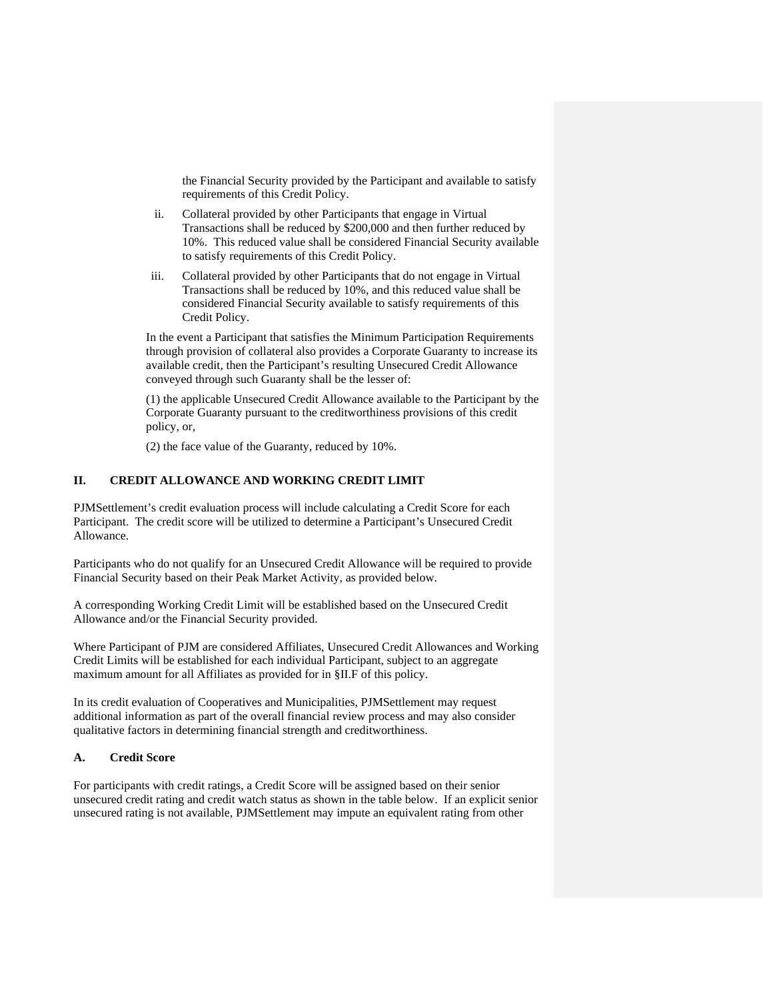the Financial Security provided by the Participant and available to satisfy requirements of this Credit Policy.

- ii. Collateral provided by other Participants that engage in Virtual Transactions shall be reduced by \$200,000 and then further reduced by 10%. This reduced value shall be considered Financial Security available to satisfy requirements of this Credit Policy.
- iii. Collateral provided by other Participants that do not engage in Virtual Transactions shall be reduced by 10%, and this reduced value shall be considered Financial Security available to satisfy requirements of this Credit Policy.

In the event a Participant that satisfies the Minimum Participation Requirements through provision of collateral also provides a Corporate Guaranty to increase its available credit, then the Participant's resulting Unsecured Credit Allowance conveyed through such Guaranty shall be the lesser of:

(1) the applicable Unsecured Credit Allowance available to the Participant by the Corporate Guaranty pursuant to the creditworthiness provisions of this credit policy, or,

(2) the face value of the Guaranty, reduced by 10%.

### **II. CREDIT ALLOWANCE AND WORKING CREDIT LIMIT**

PJMSettlement's credit evaluation process will include calculating a Credit Score for each Participant. The credit score will be utilized to determine a Participant's Unsecured Credit Allowance.

Participants who do not qualify for an Unsecured Credit Allowance will be required to provide Financial Security based on their Peak Market Activity, as provided below.

A corresponding Working Credit Limit will be established based on the Unsecured Credit Allowance and/or the Financial Security provided.

Where Participant of PJM are considered Affiliates, Unsecured Credit Allowances and Working Credit Limits will be established for each individual Participant, subject to an aggregate maximum amount for all Affiliates as provided for in §II.F of this policy.

In its credit evaluation of Cooperatives and Municipalities, PJMSettlement may request additional information as part of the overall financial review process and may also consider qualitative factors in determining financial strength and creditworthiness.

#### **A. Credit Score**

For participants with credit ratings, a Credit Score will be assigned based on their senior unsecured credit rating and credit watch status as shown in the table below. If an explicit senior unsecured rating is not available, PJMSettlement may impute an equivalent rating from other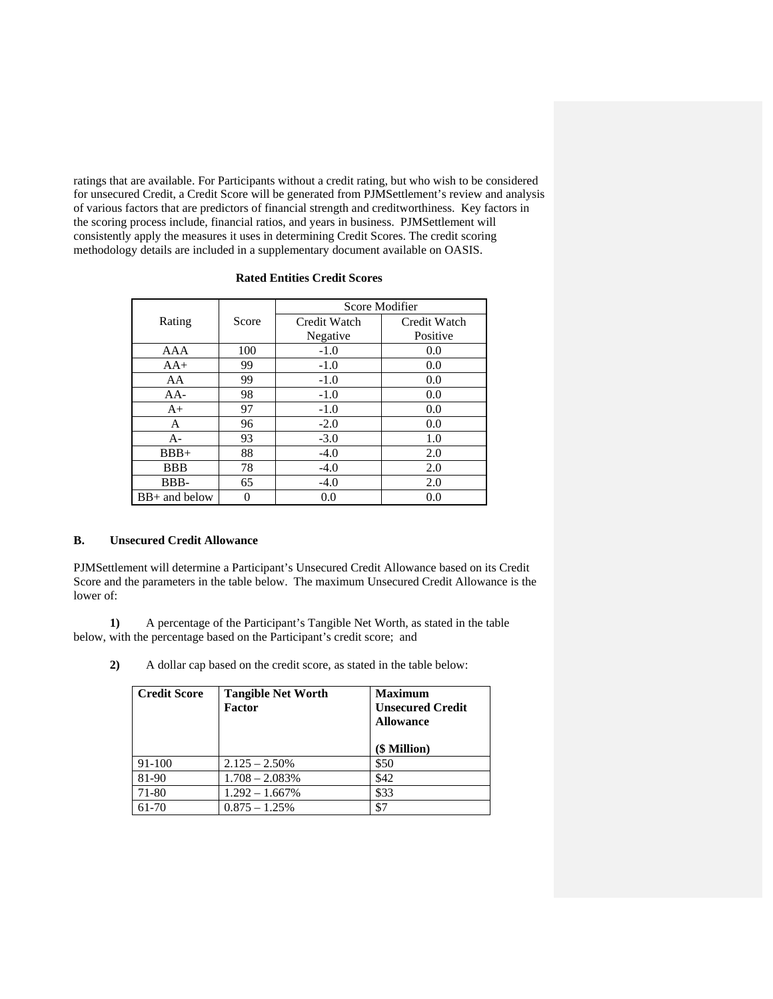ratings that are available. For Participants without a credit rating, but who wish to be considered for unsecured Credit, a Credit Score will be generated from PJMSettlement's review and analysis of various factors that are predictors of financial strength and creditworthiness. Key factors in the scoring process include, financial ratios, and years in business. PJMSettlement will consistently apply the measures it uses in determining Credit Scores. The credit scoring methodology details are included in a supplementary document available on OASIS.

|                 |       | Score Modifier |              |
|-----------------|-------|----------------|--------------|
| Rating          | Score | Credit Watch   | Credit Watch |
|                 |       | Negative       | Positive     |
| AAA             | 100   | $-1.0$         | 0.0          |
| $AA+$           | 99    | $-1.0$         | 0.0          |
| AA              | 99    | $-1.0$         | 0.0          |
| $AA-$           | 98    | $-1.0$         | 0.0          |
| $A+$            | 97    | $-1.0$         | 0.0          |
| A               | 96    | $-2.0$         | 0.0          |
| $A -$           | 93    | $-3.0$         | 1.0          |
| $BBB+$          | 88    | $-4.0$         | 2.0          |
| <b>BBB</b>      | 78    | $-4.0$         | 2.0          |
| BBB-            | 65    | $-4.0$         | 2.0          |
| $BB+$ and below | 0     | 0.0            | 0.0          |

### **Rated Entities Credit Scores**

#### **B. Unsecured Credit Allowance**

PJMSettlement will determine a Participant's Unsecured Credit Allowance based on its Credit Score and the parameters in the table below. The maximum Unsecured Credit Allowance is the lower of:

 **1)** A percentage of the Participant's Tangible Net Worth, as stated in the table below, with the percentage based on the Participant's credit score; and

 **2)** A dollar cap based on the credit score, as stated in the table below:

| <b>Credit Score</b> | <b>Tangible Net Worth</b><br><b>Factor</b> | <b>Maximum</b><br><b>Unsecured Credit</b><br><b>Allowance</b><br>(\$ Million) |
|---------------------|--------------------------------------------|-------------------------------------------------------------------------------|
| 91-100              | $2.125 - 2.50\%$                           | \$50                                                                          |
| 81-90               | $1.708 - 2.083\%$                          | \$42                                                                          |
| 71-80               | $1.292 - 1.667%$                           | \$33                                                                          |
| 61-70               | $0.875 - 1.25\%$                           | \$7                                                                           |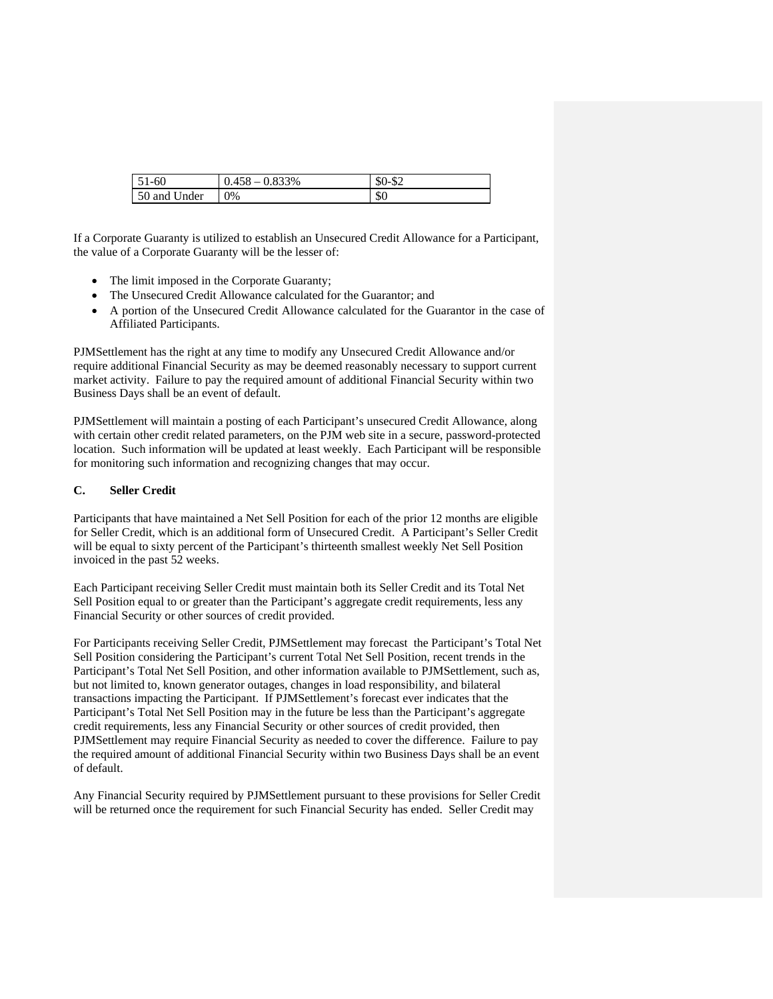| $51-60$      | 0.833%<br>0.458 | $$0-$2$<br>-DZ |
|--------------|-----------------|----------------|
| 50 and Under | 0%              | \$0            |

If a Corporate Guaranty is utilized to establish an Unsecured Credit Allowance for a Participant, the value of a Corporate Guaranty will be the lesser of:

- The limit imposed in the Corporate Guaranty;
- The Unsecured Credit Allowance calculated for the Guarantor; and
- A portion of the Unsecured Credit Allowance calculated for the Guarantor in the case of Affiliated Participants.

PJMSettlement has the right at any time to modify any Unsecured Credit Allowance and/or require additional Financial Security as may be deemed reasonably necessary to support current market activity. Failure to pay the required amount of additional Financial Security within two Business Days shall be an event of default.

PJMSettlement will maintain a posting of each Participant's unsecured Credit Allowance, along with certain other credit related parameters, on the PJM web site in a secure, password-protected location. Such information will be updated at least weekly. Each Participant will be responsible for monitoring such information and recognizing changes that may occur.

### **C. Seller Credit**

Participants that have maintained a Net Sell Position for each of the prior 12 months are eligible for Seller Credit, which is an additional form of Unsecured Credit. A Participant's Seller Credit will be equal to sixty percent of the Participant's thirteenth smallest weekly Net Sell Position invoiced in the past 52 weeks.

Each Participant receiving Seller Credit must maintain both its Seller Credit and its Total Net Sell Position equal to or greater than the Participant's aggregate credit requirements, less any Financial Security or other sources of credit provided.

For Participants receiving Seller Credit, PJMSettlement may forecast the Participant's Total Net Sell Position considering the Participant's current Total Net Sell Position, recent trends in the Participant's Total Net Sell Position, and other information available to PJMSettlement, such as, but not limited to, known generator outages, changes in load responsibility, and bilateral transactions impacting the Participant. If PJMSettlement's forecast ever indicates that the Participant's Total Net Sell Position may in the future be less than the Participant's aggregate credit requirements, less any Financial Security or other sources of credit provided, then PJMSettlement may require Financial Security as needed to cover the difference. Failure to pay the required amount of additional Financial Security within two Business Days shall be an event of default.

Any Financial Security required by PJMSettlement pursuant to these provisions for Seller Credit will be returned once the requirement for such Financial Security has ended. Seller Credit may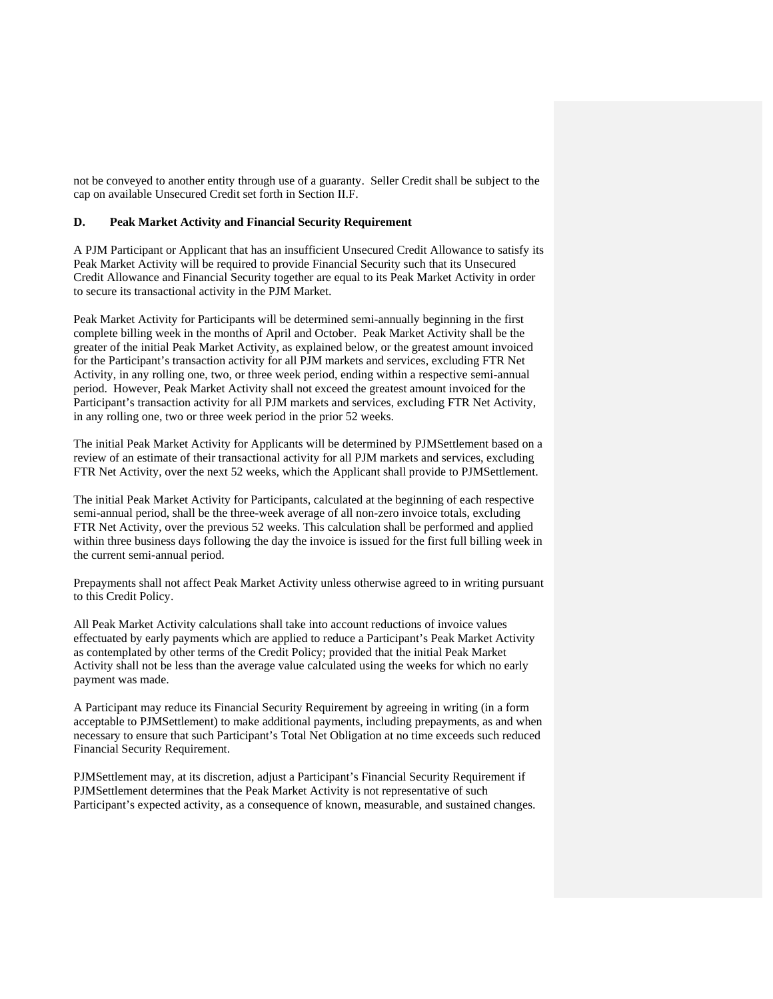not be conveyed to another entity through use of a guaranty. Seller Credit shall be subject to the cap on available Unsecured Credit set forth in Section II.F.

### **D. Peak Market Activity and Financial Security Requirement**

A PJM Participant or Applicant that has an insufficient Unsecured Credit Allowance to satisfy its Peak Market Activity will be required to provide Financial Security such that its Unsecured Credit Allowance and Financial Security together are equal to its Peak Market Activity in order to secure its transactional activity in the PJM Market.

Peak Market Activity for Participants will be determined semi-annually beginning in the first complete billing week in the months of April and October. Peak Market Activity shall be the greater of the initial Peak Market Activity, as explained below, or the greatest amount invoiced for the Participant's transaction activity for all PJM markets and services, excluding FTR Net Activity, in any rolling one, two, or three week period, ending within a respective semi-annual period. However, Peak Market Activity shall not exceed the greatest amount invoiced for the Participant's transaction activity for all PJM markets and services, excluding FTR Net Activity, in any rolling one, two or three week period in the prior 52 weeks.

The initial Peak Market Activity for Applicants will be determined by PJMSettlement based on a review of an estimate of their transactional activity for all PJM markets and services, excluding FTR Net Activity, over the next 52 weeks, which the Applicant shall provide to PJMSettlement.

The initial Peak Market Activity for Participants, calculated at the beginning of each respective semi-annual period, shall be the three-week average of all non-zero invoice totals, excluding FTR Net Activity, over the previous 52 weeks. This calculation shall be performed and applied within three business days following the day the invoice is issued for the first full billing week in the current semi-annual period.

Prepayments shall not affect Peak Market Activity unless otherwise agreed to in writing pursuant to this Credit Policy.

All Peak Market Activity calculations shall take into account reductions of invoice values effectuated by early payments which are applied to reduce a Participant's Peak Market Activity as contemplated by other terms of the Credit Policy; provided that the initial Peak Market Activity shall not be less than the average value calculated using the weeks for which no early payment was made.

A Participant may reduce its Financial Security Requirement by agreeing in writing (in a form acceptable to PJMSettlement) to make additional payments, including prepayments, as and when necessary to ensure that such Participant's Total Net Obligation at no time exceeds such reduced Financial Security Requirement.

PJMSettlement may, at its discretion, adjust a Participant's Financial Security Requirement if PJMSettlement determines that the Peak Market Activity is not representative of such Participant's expected activity, as a consequence of known, measurable, and sustained changes.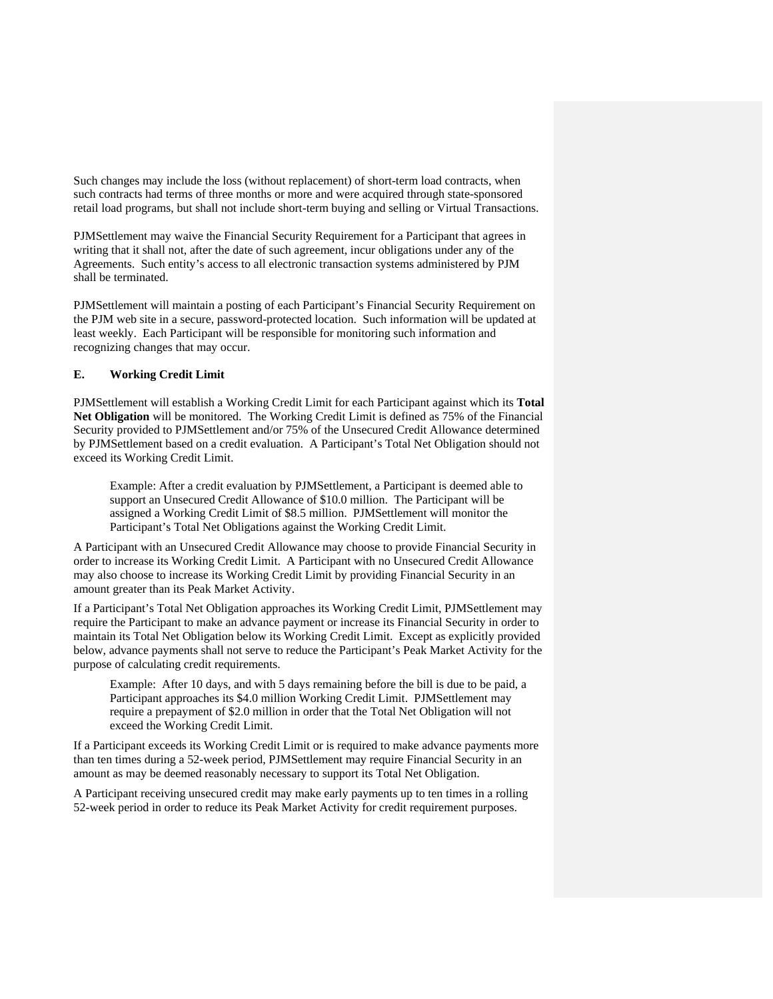Such changes may include the loss (without replacement) of short-term load contracts, when such contracts had terms of three months or more and were acquired through state-sponsored retail load programs, but shall not include short-term buying and selling or Virtual Transactions.

PJMSettlement may waive the Financial Security Requirement for a Participant that agrees in writing that it shall not, after the date of such agreement, incur obligations under any of the Agreements. Such entity's access to all electronic transaction systems administered by PJM shall be terminated.

PJMSettlement will maintain a posting of each Participant's Financial Security Requirement on the PJM web site in a secure, password-protected location. Such information will be updated at least weekly. Each Participant will be responsible for monitoring such information and recognizing changes that may occur.

### **E. Working Credit Limit**

PJMSettlement will establish a Working Credit Limit for each Participant against which its **Total Net Obligation** will be monitored. The Working Credit Limit is defined as 75% of the Financial Security provided to PJMSettlement and/or 75% of the Unsecured Credit Allowance determined by PJMSettlement based on a credit evaluation. A Participant's Total Net Obligation should not exceed its Working Credit Limit.

Example: After a credit evaluation by PJMSettlement, a Participant is deemed able to support an Unsecured Credit Allowance of \$10.0 million. The Participant will be assigned a Working Credit Limit of \$8.5 million. PJMSettlement will monitor the Participant's Total Net Obligations against the Working Credit Limit.

A Participant with an Unsecured Credit Allowance may choose to provide Financial Security in order to increase its Working Credit Limit. A Participant with no Unsecured Credit Allowance may also choose to increase its Working Credit Limit by providing Financial Security in an amount greater than its Peak Market Activity.

If a Participant's Total Net Obligation approaches its Working Credit Limit, PJMSettlement may require the Participant to make an advance payment or increase its Financial Security in order to maintain its Total Net Obligation below its Working Credit Limit. Except as explicitly provided below, advance payments shall not serve to reduce the Participant's Peak Market Activity for the purpose of calculating credit requirements.

Example: After 10 days, and with 5 days remaining before the bill is due to be paid, a Participant approaches its \$4.0 million Working Credit Limit. PJMSettlement may require a prepayment of \$2.0 million in order that the Total Net Obligation will not exceed the Working Credit Limit.

If a Participant exceeds its Working Credit Limit or is required to make advance payments more than ten times during a 52-week period, PJMSettlement may require Financial Security in an amount as may be deemed reasonably necessary to support its Total Net Obligation.

A Participant receiving unsecured credit may make early payments up to ten times in a rolling 52-week period in order to reduce its Peak Market Activity for credit requirement purposes.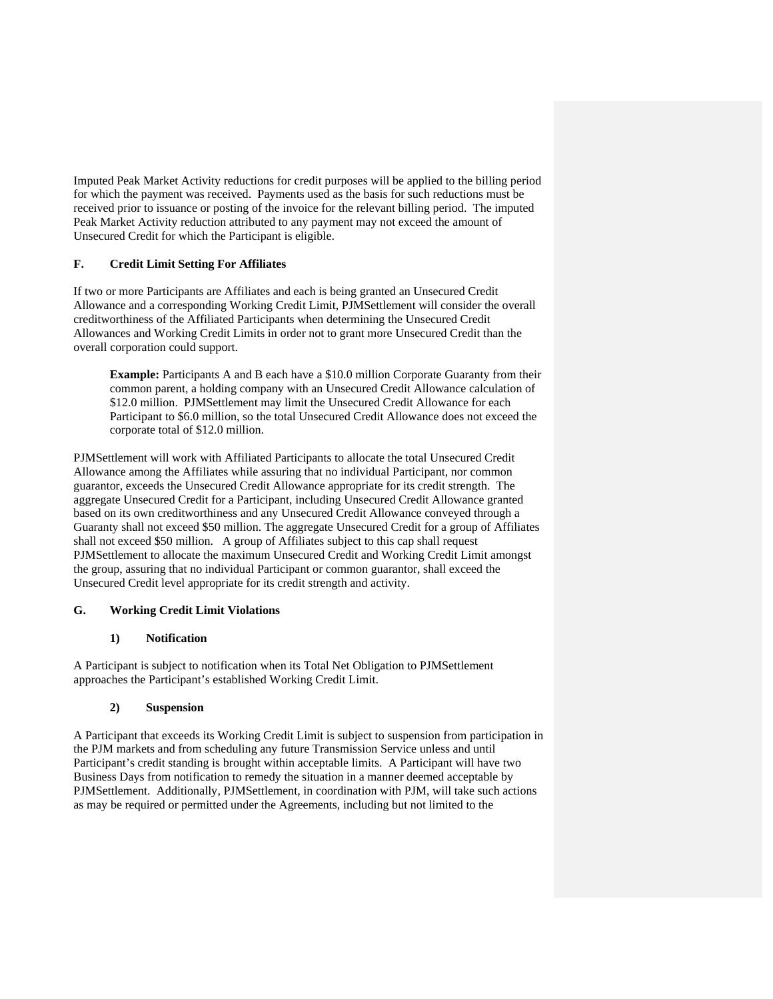Imputed Peak Market Activity reductions for credit purposes will be applied to the billing period for which the payment was received. Payments used as the basis for such reductions must be received prior to issuance or posting of the invoice for the relevant billing period. The imputed Peak Market Activity reduction attributed to any payment may not exceed the amount of Unsecured Credit for which the Participant is eligible.

## **F. Credit Limit Setting For Affiliates**

If two or more Participants are Affiliates and each is being granted an Unsecured Credit Allowance and a corresponding Working Credit Limit, PJMSettlement will consider the overall creditworthiness of the Affiliated Participants when determining the Unsecured Credit Allowances and Working Credit Limits in order not to grant more Unsecured Credit than the overall corporation could support.

**Example:** Participants A and B each have a \$10.0 million Corporate Guaranty from their common parent, a holding company with an Unsecured Credit Allowance calculation of \$12.0 million. PJMSettlement may limit the Unsecured Credit Allowance for each Participant to \$6.0 million, so the total Unsecured Credit Allowance does not exceed the corporate total of \$12.0 million.

PJMSettlement will work with Affiliated Participants to allocate the total Unsecured Credit Allowance among the Affiliates while assuring that no individual Participant, nor common guarantor, exceeds the Unsecured Credit Allowance appropriate for its credit strength. The aggregate Unsecured Credit for a Participant, including Unsecured Credit Allowance granted based on its own creditworthiness and any Unsecured Credit Allowance conveyed through a Guaranty shall not exceed \$50 million. The aggregate Unsecured Credit for a group of Affiliates shall not exceed \$50 million. A group of Affiliates subject to this cap shall request PJMSettlement to allocate the maximum Unsecured Credit and Working Credit Limit amongst the group, assuring that no individual Participant or common guarantor, shall exceed the Unsecured Credit level appropriate for its credit strength and activity.

## **G. Working Credit Limit Violations**

## **1) Notification**

A Participant is subject to notification when its Total Net Obligation to PJMSettlement approaches the Participant's established Working Credit Limit.

## **2) Suspension**

A Participant that exceeds its Working Credit Limit is subject to suspension from participation in the PJM markets and from scheduling any future Transmission Service unless and until Participant's credit standing is brought within acceptable limits. A Participant will have two Business Days from notification to remedy the situation in a manner deemed acceptable by PJMSettlement. Additionally, PJMSettlement, in coordination with PJM, will take such actions as may be required or permitted under the Agreements, including but not limited to the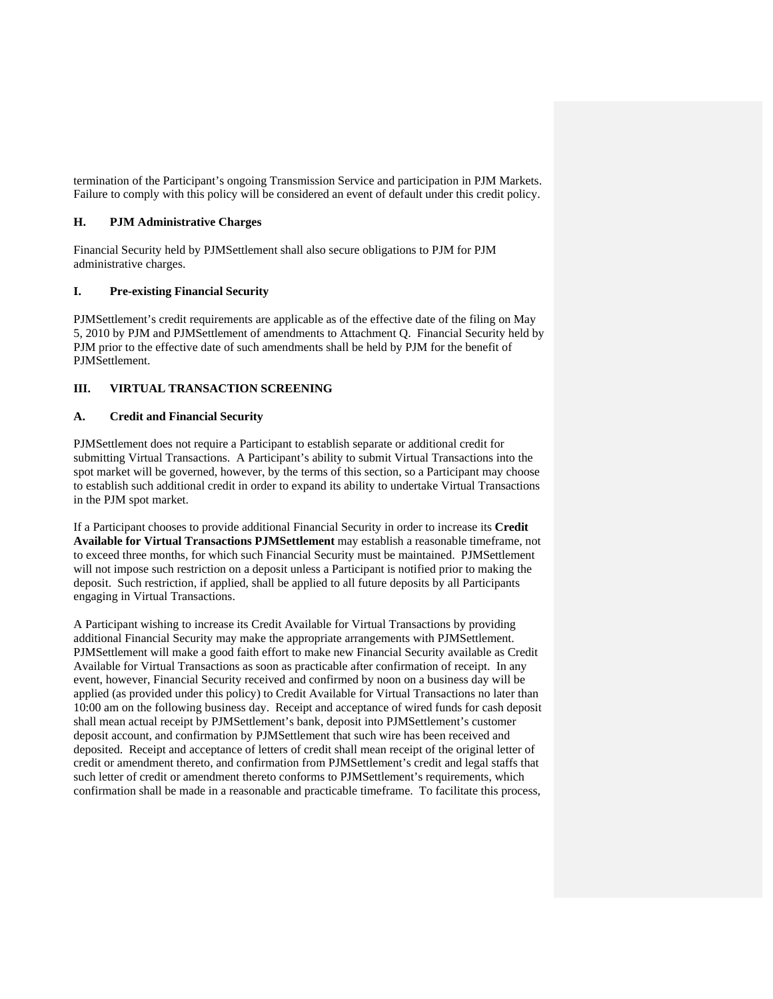termination of the Participant's ongoing Transmission Service and participation in PJM Markets. Failure to comply with this policy will be considered an event of default under this credit policy.

## **H. PJM Administrative Charges**

Financial Security held by PJMSettlement shall also secure obligations to PJM for PJM administrative charges.

### **I. Pre-existing Financial Security**

PJMSettlement's credit requirements are applicable as of the effective date of the filing on May 5, 2010 by PJM and PJMSettlement of amendments to Attachment Q. Financial Security held by PJM prior to the effective date of such amendments shall be held by PJM for the benefit of PJMSettlement.

## **III. VIRTUAL TRANSACTION SCREENING**

### **A. Credit and Financial Security**

PJMSettlement does not require a Participant to establish separate or additional credit for submitting Virtual Transactions. A Participant's ability to submit Virtual Transactions into the spot market will be governed, however, by the terms of this section, so a Participant may choose to establish such additional credit in order to expand its ability to undertake Virtual Transactions in the PJM spot market.

If a Participant chooses to provide additional Financial Security in order to increase its **Credit Available for Virtual Transactions PJMSettlement** may establish a reasonable timeframe, not to exceed three months, for which such Financial Security must be maintained. PJMSettlement will not impose such restriction on a deposit unless a Participant is notified prior to making the deposit. Such restriction, if applied, shall be applied to all future deposits by all Participants engaging in Virtual Transactions.

A Participant wishing to increase its Credit Available for Virtual Transactions by providing additional Financial Security may make the appropriate arrangements with PJMSettlement. PJMSettlement will make a good faith effort to make new Financial Security available as Credit Available for Virtual Transactions as soon as practicable after confirmation of receipt. In any event, however, Financial Security received and confirmed by noon on a business day will be applied (as provided under this policy) to Credit Available for Virtual Transactions no later than 10:00 am on the following business day. Receipt and acceptance of wired funds for cash deposit shall mean actual receipt by PJMSettlement's bank, deposit into PJMSettlement's customer deposit account, and confirmation by PJMSettlement that such wire has been received and deposited. Receipt and acceptance of letters of credit shall mean receipt of the original letter of credit or amendment thereto, and confirmation from PJMSettlement's credit and legal staffs that such letter of credit or amendment thereto conforms to PJMSettlement's requirements, which confirmation shall be made in a reasonable and practicable timeframe. To facilitate this process,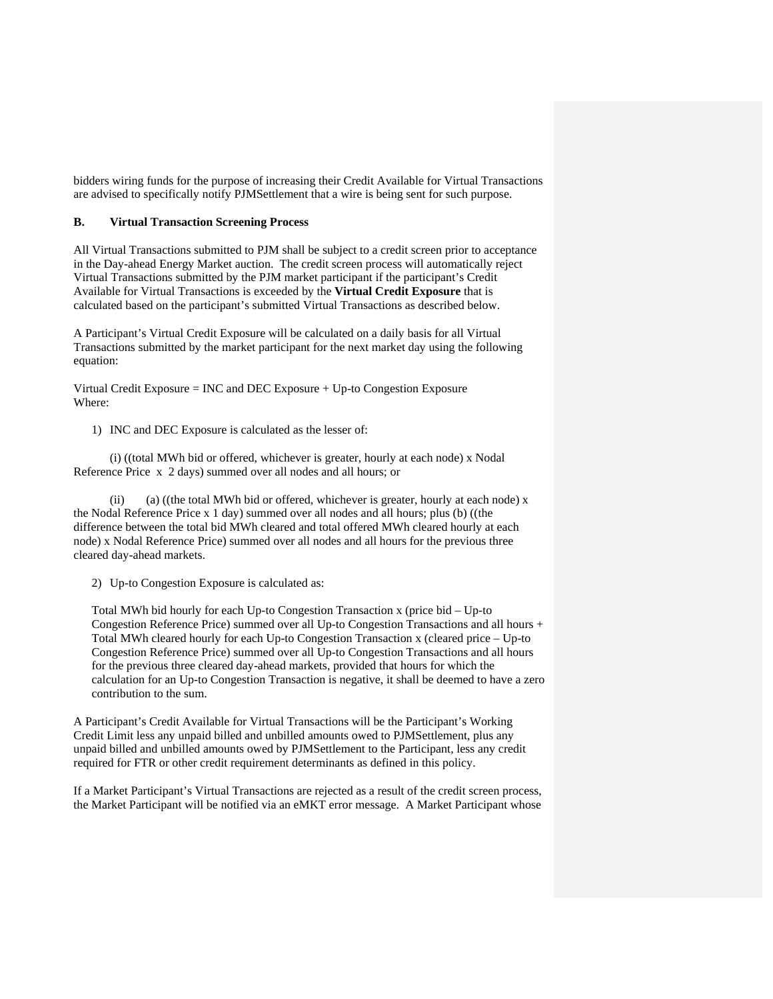bidders wiring funds for the purpose of increasing their Credit Available for Virtual Transactions are advised to specifically notify PJMSettlement that a wire is being sent for such purpose.

### **B. Virtual Transaction Screening Process**

All Virtual Transactions submitted to PJM shall be subject to a credit screen prior to acceptance in the Day-ahead Energy Market auction. The credit screen process will automatically reject Virtual Transactions submitted by the PJM market participant if the participant's Credit Available for Virtual Transactions is exceeded by the **Virtual Credit Exposure** that is calculated based on the participant's submitted Virtual Transactions as described below.

A Participant's Virtual Credit Exposure will be calculated on a daily basis for all Virtual Transactions submitted by the market participant for the next market day using the following equation:

Virtual Credit Exposure = INC and DEC Exposure + Up-to Congestion Exposure Where:

1) INC and DEC Exposure is calculated as the lesser of:

 (i) ((total MWh bid or offered, whichever is greater, hourly at each node) x Nodal Reference Price x 2 days) summed over all nodes and all hours; or

(ii) (a) ((the total MWh bid or offered, whichever is greater, hourly at each node)  $x$ the Nodal Reference Price x 1 day) summed over all nodes and all hours; plus (b) ((the difference between the total bid MWh cleared and total offered MWh cleared hourly at each node) x Nodal Reference Price) summed over all nodes and all hours for the previous three cleared day-ahead markets.

2) Up-to Congestion Exposure is calculated as:

Total MWh bid hourly for each Up-to Congestion Transaction x (price bid – Up-to Congestion Reference Price) summed over all Up-to Congestion Transactions and all hours + Total MWh cleared hourly for each Up-to Congestion Transaction x (cleared price – Up-to Congestion Reference Price) summed over all Up-to Congestion Transactions and all hours for the previous three cleared day-ahead markets, provided that hours for which the calculation for an Up-to Congestion Transaction is negative, it shall be deemed to have a zero contribution to the sum.

A Participant's Credit Available for Virtual Transactions will be the Participant's Working Credit Limit less any unpaid billed and unbilled amounts owed to PJMSettlement, plus any unpaid billed and unbilled amounts owed by PJMSettlement to the Participant, less any credit required for FTR or other credit requirement determinants as defined in this policy.

If a Market Participant's Virtual Transactions are rejected as a result of the credit screen process, the Market Participant will be notified via an eMKT error message. A Market Participant whose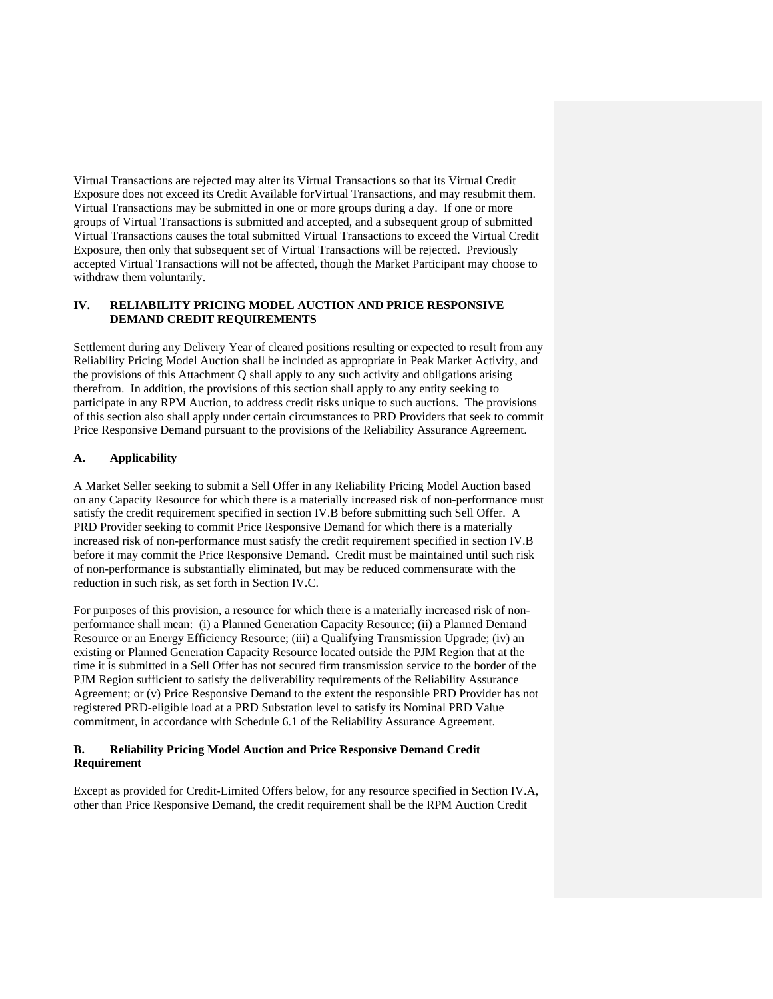Virtual Transactions are rejected may alter its Virtual Transactions so that its Virtual Credit Exposure does not exceed its Credit Available forVirtual Transactions, and may resubmit them. Virtual Transactions may be submitted in one or more groups during a day. If one or more groups of Virtual Transactions is submitted and accepted, and a subsequent group of submitted Virtual Transactions causes the total submitted Virtual Transactions to exceed the Virtual Credit Exposure, then only that subsequent set of Virtual Transactions will be rejected. Previously accepted Virtual Transactions will not be affected, though the Market Participant may choose to withdraw them voluntarily.

## **IV. RELIABILITY PRICING MODEL AUCTION AND PRICE RESPONSIVE DEMAND CREDIT REQUIREMENTS**

Settlement during any Delivery Year of cleared positions resulting or expected to result from any Reliability Pricing Model Auction shall be included as appropriate in Peak Market Activity, and the provisions of this Attachment Q shall apply to any such activity and obligations arising therefrom. In addition, the provisions of this section shall apply to any entity seeking to participate in any RPM Auction, to address credit risks unique to such auctions. The provisions of this section also shall apply under certain circumstances to PRD Providers that seek to commit Price Responsive Demand pursuant to the provisions of the Reliability Assurance Agreement.

## **A. Applicability**

A Market Seller seeking to submit a Sell Offer in any Reliability Pricing Model Auction based on any Capacity Resource for which there is a materially increased risk of non-performance must satisfy the credit requirement specified in section IV.B before submitting such Sell Offer. A PRD Provider seeking to commit Price Responsive Demand for which there is a materially increased risk of non-performance must satisfy the credit requirement specified in section IV.B before it may commit the Price Responsive Demand. Credit must be maintained until such risk of non-performance is substantially eliminated, but may be reduced commensurate with the reduction in such risk, as set forth in Section IV.C.

For purposes of this provision, a resource for which there is a materially increased risk of nonperformance shall mean: (i) a Planned Generation Capacity Resource; (ii) a Planned Demand Resource or an Energy Efficiency Resource; (iii) a Qualifying Transmission Upgrade; (iv) an existing or Planned Generation Capacity Resource located outside the PJM Region that at the time it is submitted in a Sell Offer has not secured firm transmission service to the border of the PJM Region sufficient to satisfy the deliverability requirements of the Reliability Assurance Agreement; or (v) Price Responsive Demand to the extent the responsible PRD Provider has not registered PRD-eligible load at a PRD Substation level to satisfy its Nominal PRD Value commitment, in accordance with Schedule 6.1 of the Reliability Assurance Agreement.

### **B. Reliability Pricing Model Auction and Price Responsive Demand Credit Requirement**

Except as provided for Credit-Limited Offers below, for any resource specified in Section IV.A, other than Price Responsive Demand, the credit requirement shall be the RPM Auction Credit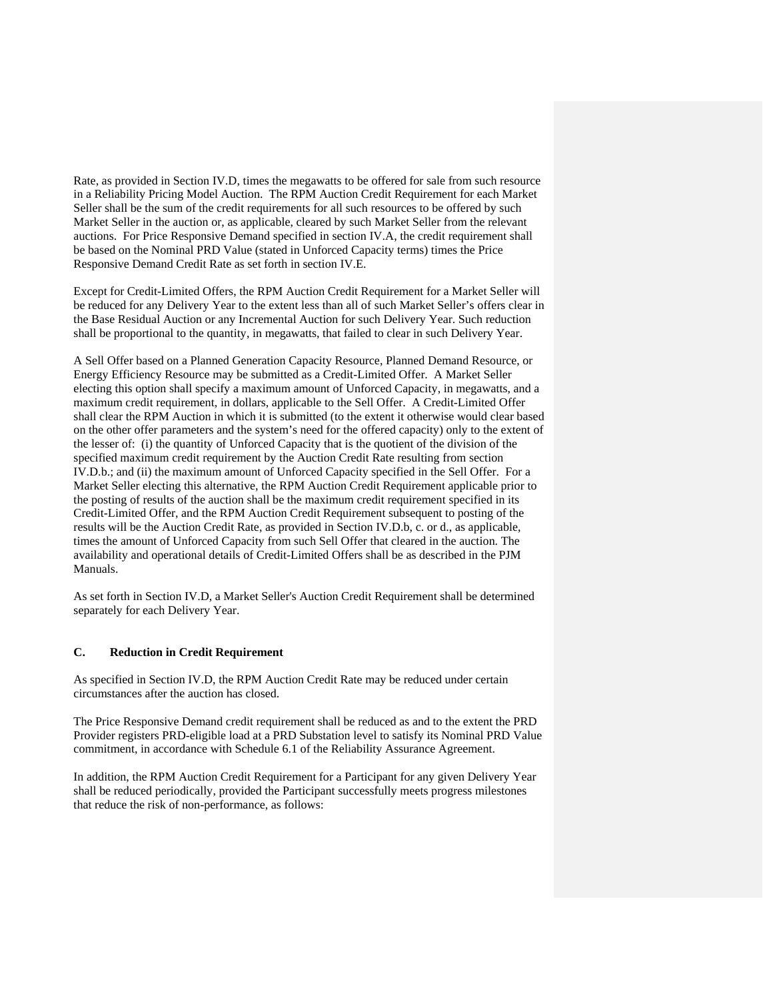Rate, as provided in Section IV.D, times the megawatts to be offered for sale from such resource in a Reliability Pricing Model Auction. The RPM Auction Credit Requirement for each Market Seller shall be the sum of the credit requirements for all such resources to be offered by such Market Seller in the auction or, as applicable, cleared by such Market Seller from the relevant auctions. For Price Responsive Demand specified in section IV.A, the credit requirement shall be based on the Nominal PRD Value (stated in Unforced Capacity terms) times the Price Responsive Demand Credit Rate as set forth in section IV.E.

Except for Credit-Limited Offers, the RPM Auction Credit Requirement for a Market Seller will be reduced for any Delivery Year to the extent less than all of such Market Seller's offers clear in the Base Residual Auction or any Incremental Auction for such Delivery Year. Such reduction shall be proportional to the quantity, in megawatts, that failed to clear in such Delivery Year.

A Sell Offer based on a Planned Generation Capacity Resource, Planned Demand Resource, or Energy Efficiency Resource may be submitted as a Credit-Limited Offer. A Market Seller electing this option shall specify a maximum amount of Unforced Capacity, in megawatts, and a maximum credit requirement, in dollars, applicable to the Sell Offer. A Credit-Limited Offer shall clear the RPM Auction in which it is submitted (to the extent it otherwise would clear based on the other offer parameters and the system's need for the offered capacity) only to the extent of the lesser of: (i) the quantity of Unforced Capacity that is the quotient of the division of the specified maximum credit requirement by the Auction Credit Rate resulting from section IV.D.b.; and (ii) the maximum amount of Unforced Capacity specified in the Sell Offer. For a Market Seller electing this alternative, the RPM Auction Credit Requirement applicable prior to the posting of results of the auction shall be the maximum credit requirement specified in its Credit-Limited Offer, and the RPM Auction Credit Requirement subsequent to posting of the results will be the Auction Credit Rate, as provided in Section IV.D.b, c. or d., as applicable, times the amount of Unforced Capacity from such Sell Offer that cleared in the auction. The availability and operational details of Credit-Limited Offers shall be as described in the PJM Manuals.

As set forth in Section IV.D, a Market Seller's Auction Credit Requirement shall be determined separately for each Delivery Year.

## **C. Reduction in Credit Requirement**

As specified in Section IV.D, the RPM Auction Credit Rate may be reduced under certain circumstances after the auction has closed.

The Price Responsive Demand credit requirement shall be reduced as and to the extent the PRD Provider registers PRD-eligible load at a PRD Substation level to satisfy its Nominal PRD Value commitment, in accordance with Schedule 6.1 of the Reliability Assurance Agreement.

In addition, the RPM Auction Credit Requirement for a Participant for any given Delivery Year shall be reduced periodically, provided the Participant successfully meets progress milestones that reduce the risk of non-performance, as follows: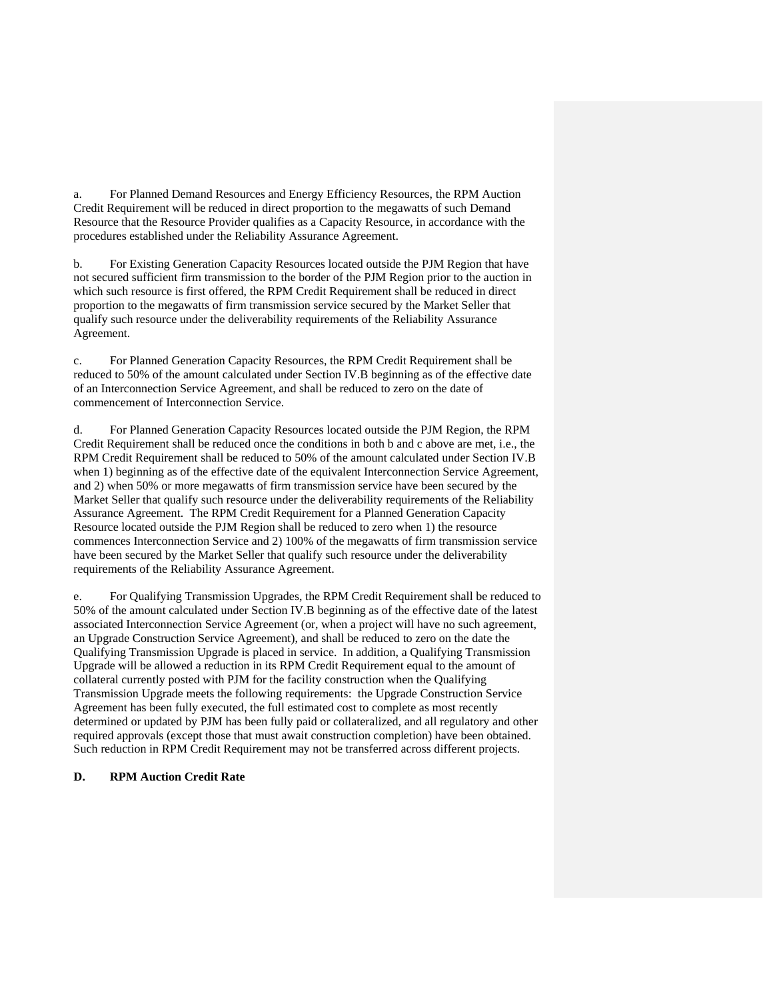a. For Planned Demand Resources and Energy Efficiency Resources, the RPM Auction Credit Requirement will be reduced in direct proportion to the megawatts of such Demand Resource that the Resource Provider qualifies as a Capacity Resource, in accordance with the procedures established under the Reliability Assurance Agreement.

b. For Existing Generation Capacity Resources located outside the PJM Region that have not secured sufficient firm transmission to the border of the PJM Region prior to the auction in which such resource is first offered, the RPM Credit Requirement shall be reduced in direct proportion to the megawatts of firm transmission service secured by the Market Seller that qualify such resource under the deliverability requirements of the Reliability Assurance Agreement.

c. For Planned Generation Capacity Resources, the RPM Credit Requirement shall be reduced to 50% of the amount calculated under Section IV.B beginning as of the effective date of an Interconnection Service Agreement, and shall be reduced to zero on the date of commencement of Interconnection Service.

d. For Planned Generation Capacity Resources located outside the PJM Region, the RPM Credit Requirement shall be reduced once the conditions in both b and c above are met, i.e., the RPM Credit Requirement shall be reduced to 50% of the amount calculated under Section IV.B when 1) beginning as of the effective date of the equivalent Interconnection Service Agreement, and 2) when 50% or more megawatts of firm transmission service have been secured by the Market Seller that qualify such resource under the deliverability requirements of the Reliability Assurance Agreement. The RPM Credit Requirement for a Planned Generation Capacity Resource located outside the PJM Region shall be reduced to zero when 1) the resource commences Interconnection Service and 2) 100% of the megawatts of firm transmission service have been secured by the Market Seller that qualify such resource under the deliverability requirements of the Reliability Assurance Agreement.

e. For Qualifying Transmission Upgrades, the RPM Credit Requirement shall be reduced to 50% of the amount calculated under Section IV.B beginning as of the effective date of the latest associated Interconnection Service Agreement (or, when a project will have no such agreement, an Upgrade Construction Service Agreement), and shall be reduced to zero on the date the Qualifying Transmission Upgrade is placed in service. In addition, a Qualifying Transmission Upgrade will be allowed a reduction in its RPM Credit Requirement equal to the amount of collateral currently posted with PJM for the facility construction when the Qualifying Transmission Upgrade meets the following requirements: the Upgrade Construction Service Agreement has been fully executed, the full estimated cost to complete as most recently determined or updated by PJM has been fully paid or collateralized, and all regulatory and other required approvals (except those that must await construction completion) have been obtained. Such reduction in RPM Credit Requirement may not be transferred across different projects.

## **D. RPM Auction Credit Rate**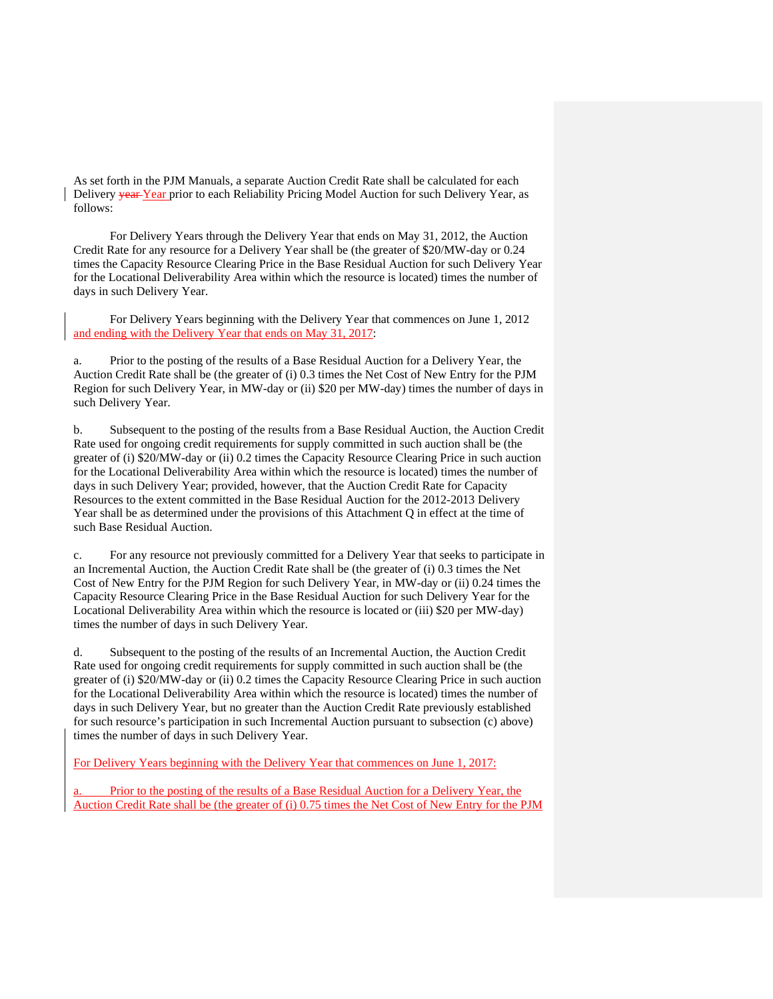As set forth in the PJM Manuals, a separate Auction Credit Rate shall be calculated for each Delivery <del>year</del>-Year prior to each Reliability Pricing Model Auction for such Delivery Year, as follows:

 For Delivery Years through the Delivery Year that ends on May 31, 2012, the Auction Credit Rate for any resource for a Delivery Year shall be (the greater of \$20/MW-day or 0.24 times the Capacity Resource Clearing Price in the Base Residual Auction for such Delivery Year for the Locational Deliverability Area within which the resource is located) times the number of days in such Delivery Year.

 For Delivery Years beginning with the Delivery Year that commences on June 1, 2012 and ending with the Delivery Year that ends on May 31, 2017:

a. Prior to the posting of the results of a Base Residual Auction for a Delivery Year, the Auction Credit Rate shall be (the greater of (i) 0.3 times the Net Cost of New Entry for the PJM Region for such Delivery Year, in MW-day or (ii) \$20 per MW-day) times the number of days in such Delivery Year.

b. Subsequent to the posting of the results from a Base Residual Auction, the Auction Credit Rate used for ongoing credit requirements for supply committed in such auction shall be (the greater of (i) \$20/MW-day or (ii) 0.2 times the Capacity Resource Clearing Price in such auction for the Locational Deliverability Area within which the resource is located) times the number of days in such Delivery Year; provided, however, that the Auction Credit Rate for Capacity Resources to the extent committed in the Base Residual Auction for the 2012-2013 Delivery Year shall be as determined under the provisions of this Attachment Q in effect at the time of such Base Residual Auction.

c. For any resource not previously committed for a Delivery Year that seeks to participate in an Incremental Auction, the Auction Credit Rate shall be (the greater of (i) 0.3 times the Net Cost of New Entry for the PJM Region for such Delivery Year, in MW-day or (ii) 0.24 times the Capacity Resource Clearing Price in the Base Residual Auction for such Delivery Year for the Locational Deliverability Area within which the resource is located or (iii) \$20 per MW-day) times the number of days in such Delivery Year.

d. Subsequent to the posting of the results of an Incremental Auction, the Auction Credit Rate used for ongoing credit requirements for supply committed in such auction shall be (the greater of (i) \$20/MW-day or (ii) 0.2 times the Capacity Resource Clearing Price in such auction for the Locational Deliverability Area within which the resource is located) times the number of days in such Delivery Year, but no greater than the Auction Credit Rate previously established for such resource's participation in such Incremental Auction pursuant to subsection (c) above) times the number of days in such Delivery Year.

For Delivery Years beginning with the Delivery Year that commences on June 1, 2017:

Prior to the posting of the results of a Base Residual Auction for a Delivery Year, the Auction Credit Rate shall be (the greater of (i) 0.75 times the Net Cost of New Entry for the PJM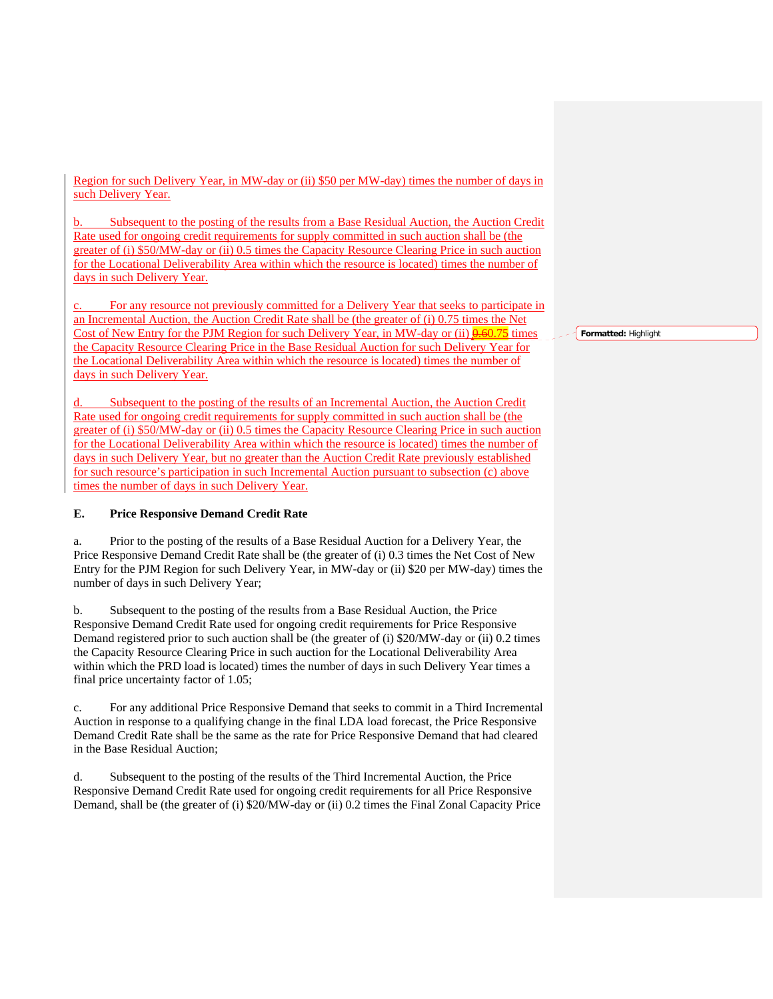Region for such Delivery Year, in MW-day or (ii) \$50 per MW-day) times the number of days in such Delivery Year.

b. Subsequent to the posting of the results from a Base Residual Auction, the Auction Credit Rate used for ongoing credit requirements for supply committed in such auction shall be (the greater of (i) \$50/MW-day or (ii) 0.5 times the Capacity Resource Clearing Price in such auction for the Locational Deliverability Area within which the resource is located) times the number of days in such Delivery Year.

For any resource not previously committed for a Delivery Year that seeks to participate in an Incremental Auction, the Auction Credit Rate shall be (the greater of (i) 0.75 times the Net Cost of New Entry for the PJM Region for such Delivery Year, in MW-day or (ii)  $\frac{0.6075}{0.6075}$  times the Capacity Resource Clearing Price in the Base Residual Auction for such Delivery Year for the Locational Deliverability Area within which the resource is located) times the number of days in such Delivery Year.

Subsequent to the posting of the results of an Incremental Auction, the Auction Credit Rate used for ongoing credit requirements for supply committed in such auction shall be (the greater of (i) \$50/MW-day or (ii) 0.5 times the Capacity Resource Clearing Price in such auction for the Locational Deliverability Area within which the resource is located) times the number of days in such Delivery Year, but no greater than the Auction Credit Rate previously established for such resource's participation in such Incremental Auction pursuant to subsection (c) above times the number of days in such Delivery Year.

## **E. Price Responsive Demand Credit Rate**

a. Prior to the posting of the results of a Base Residual Auction for a Delivery Year, the Price Responsive Demand Credit Rate shall be (the greater of (i) 0.3 times the Net Cost of New Entry for the PJM Region for such Delivery Year, in MW-day or (ii) \$20 per MW-day) times the number of days in such Delivery Year;

b. Subsequent to the posting of the results from a Base Residual Auction, the Price Responsive Demand Credit Rate used for ongoing credit requirements for Price Responsive Demand registered prior to such auction shall be (the greater of (i) \$20/MW-day or (ii) 0.2 times the Capacity Resource Clearing Price in such auction for the Locational Deliverability Area within which the PRD load is located) times the number of days in such Delivery Year times a final price uncertainty factor of 1.05;

c. For any additional Price Responsive Demand that seeks to commit in a Third Incremental Auction in response to a qualifying change in the final LDA load forecast, the Price Responsive Demand Credit Rate shall be the same as the rate for Price Responsive Demand that had cleared in the Base Residual Auction;

d. Subsequent to the posting of the results of the Third Incremental Auction, the Price Responsive Demand Credit Rate used for ongoing credit requirements for all Price Responsive Demand, shall be (the greater of (i) \$20/MW-day or (ii) 0.2 times the Final Zonal Capacity Price **Formatted:** Highlight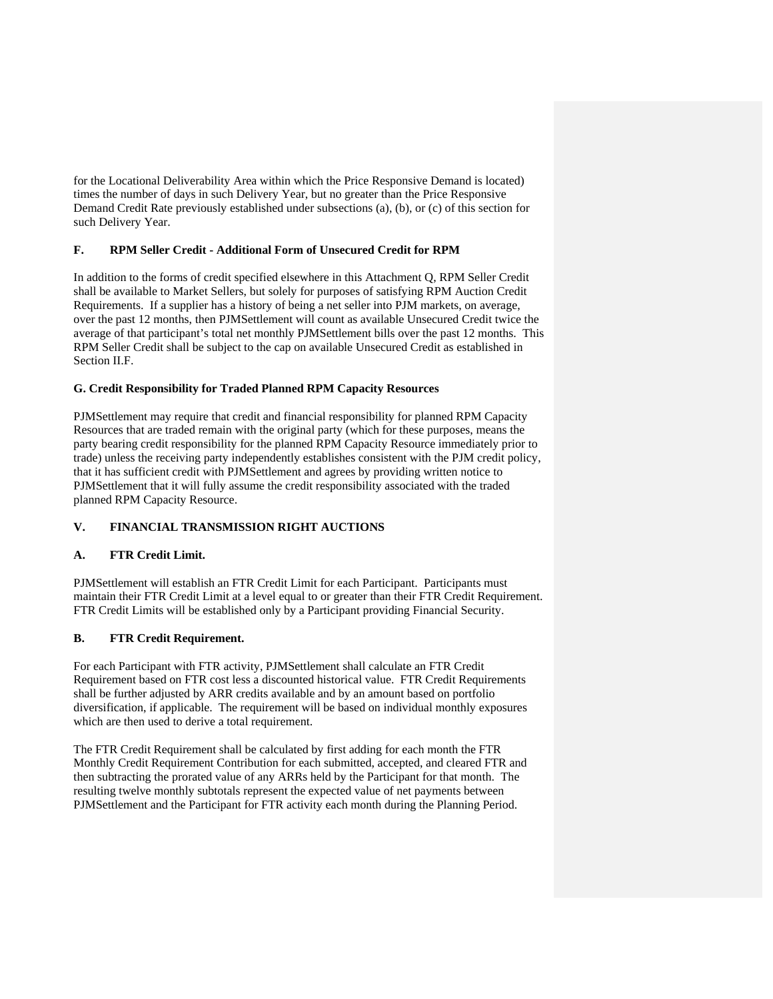for the Locational Deliverability Area within which the Price Responsive Demand is located) times the number of days in such Delivery Year, but no greater than the Price Responsive Demand Credit Rate previously established under subsections (a), (b), or (c) of this section for such Delivery Year.

## **F. RPM Seller Credit - Additional Form of Unsecured Credit for RPM**

In addition to the forms of credit specified elsewhere in this Attachment Q, RPM Seller Credit shall be available to Market Sellers, but solely for purposes of satisfying RPM Auction Credit Requirements. If a supplier has a history of being a net seller into PJM markets, on average, over the past 12 months, then PJMSettlement will count as available Unsecured Credit twice the average of that participant's total net monthly PJMSettlement bills over the past 12 months. This RPM Seller Credit shall be subject to the cap on available Unsecured Credit as established in Section II.F.

### **G. Credit Responsibility for Traded Planned RPM Capacity Resources**

PJMSettlement may require that credit and financial responsibility for planned RPM Capacity Resources that are traded remain with the original party (which for these purposes, means the party bearing credit responsibility for the planned RPM Capacity Resource immediately prior to trade) unless the receiving party independently establishes consistent with the PJM credit policy, that it has sufficient credit with PJMSettlement and agrees by providing written notice to PJMSettlement that it will fully assume the credit responsibility associated with the traded planned RPM Capacity Resource.

## **V. FINANCIAL TRANSMISSION RIGHT AUCTIONS**

## **A. FTR Credit Limit.**

PJMSettlement will establish an FTR Credit Limit for each Participant. Participants must maintain their FTR Credit Limit at a level equal to or greater than their FTR Credit Requirement. FTR Credit Limits will be established only by a Participant providing Financial Security.

## **B. FTR Credit Requirement.**

For each Participant with FTR activity, PJMSettlement shall calculate an FTR Credit Requirement based on FTR cost less a discounted historical value. FTR Credit Requirements shall be further adjusted by ARR credits available and by an amount based on portfolio diversification, if applicable. The requirement will be based on individual monthly exposures which are then used to derive a total requirement.

The FTR Credit Requirement shall be calculated by first adding for each month the FTR Monthly Credit Requirement Contribution for each submitted, accepted, and cleared FTR and then subtracting the prorated value of any ARRs held by the Participant for that month. The resulting twelve monthly subtotals represent the expected value of net payments between PJMSettlement and the Participant for FTR activity each month during the Planning Period.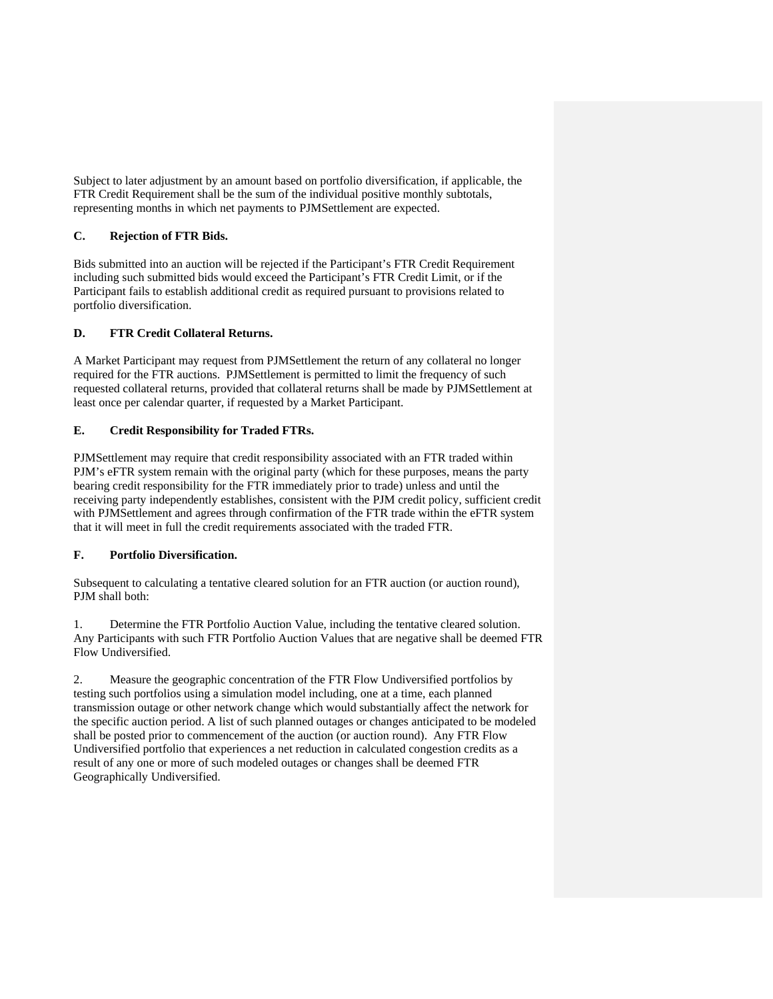Subject to later adjustment by an amount based on portfolio diversification, if applicable, the FTR Credit Requirement shall be the sum of the individual positive monthly subtotals, representing months in which net payments to PJMSettlement are expected.

# **C. Rejection of FTR Bids.**

Bids submitted into an auction will be rejected if the Participant's FTR Credit Requirement including such submitted bids would exceed the Participant's FTR Credit Limit, or if the Participant fails to establish additional credit as required pursuant to provisions related to portfolio diversification.

# **D. FTR Credit Collateral Returns.**

A Market Participant may request from PJMSettlement the return of any collateral no longer required for the FTR auctions. PJMSettlement is permitted to limit the frequency of such requested collateral returns, provided that collateral returns shall be made by PJMSettlement at least once per calendar quarter, if requested by a Market Participant.

# **E. Credit Responsibility for Traded FTRs.**

PJMSettlement may require that credit responsibility associated with an FTR traded within PJM's eFTR system remain with the original party (which for these purposes, means the party bearing credit responsibility for the FTR immediately prior to trade) unless and until the receiving party independently establishes, consistent with the PJM credit policy, sufficient credit with PJMSettlement and agrees through confirmation of the FTR trade within the eFTR system that it will meet in full the credit requirements associated with the traded FTR.

## **F. Portfolio Diversification.**

Subsequent to calculating a tentative cleared solution for an FTR auction (or auction round), PJM shall both:

1. Determine the FTR Portfolio Auction Value, including the tentative cleared solution. Any Participants with such FTR Portfolio Auction Values that are negative shall be deemed FTR Flow Undiversified.

2. Measure the geographic concentration of the FTR Flow Undiversified portfolios by testing such portfolios using a simulation model including, one at a time, each planned transmission outage or other network change which would substantially affect the network for the specific auction period. A list of such planned outages or changes anticipated to be modeled shall be posted prior to commencement of the auction (or auction round). Any FTR Flow Undiversified portfolio that experiences a net reduction in calculated congestion credits as a result of any one or more of such modeled outages or changes shall be deemed FTR Geographically Undiversified.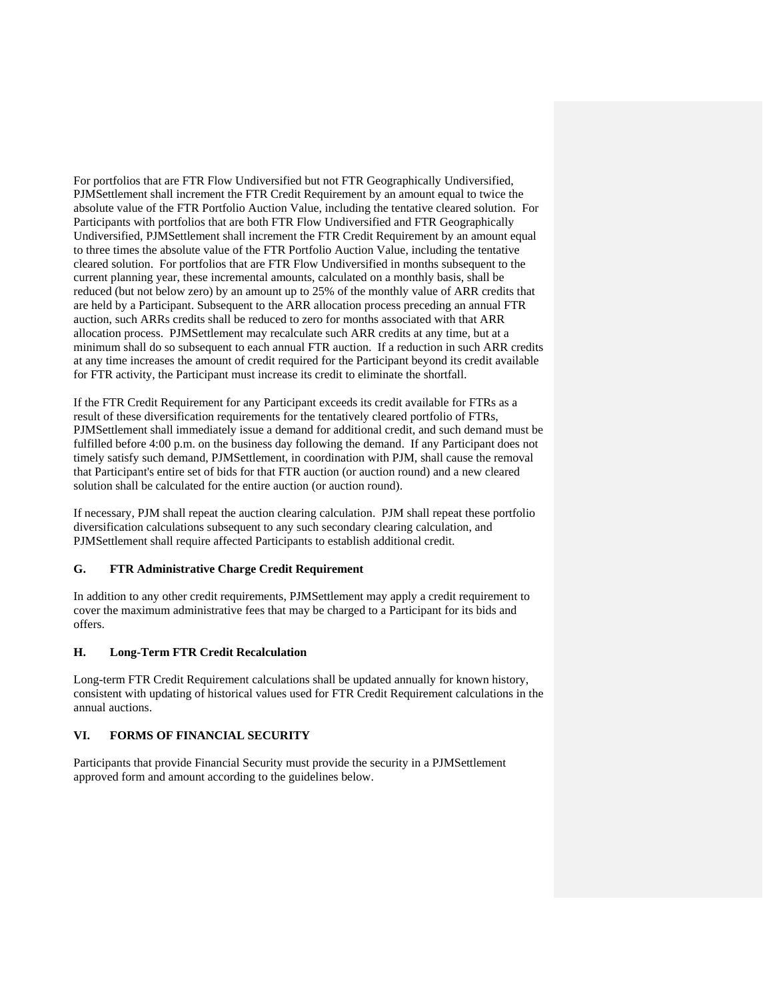For portfolios that are FTR Flow Undiversified but not FTR Geographically Undiversified, PJMSettlement shall increment the FTR Credit Requirement by an amount equal to twice the absolute value of the FTR Portfolio Auction Value, including the tentative cleared solution. For Participants with portfolios that are both FTR Flow Undiversified and FTR Geographically Undiversified, PJMSettlement shall increment the FTR Credit Requirement by an amount equal to three times the absolute value of the FTR Portfolio Auction Value, including the tentative cleared solution. For portfolios that are FTR Flow Undiversified in months subsequent to the current planning year, these incremental amounts, calculated on a monthly basis, shall be reduced (but not below zero) by an amount up to 25% of the monthly value of ARR credits that are held by a Participant. Subsequent to the ARR allocation process preceding an annual FTR auction, such ARRs credits shall be reduced to zero for months associated with that ARR allocation process. PJMSettlement may recalculate such ARR credits at any time, but at a minimum shall do so subsequent to each annual FTR auction. If a reduction in such ARR credits at any time increases the amount of credit required for the Participant beyond its credit available for FTR activity, the Participant must increase its credit to eliminate the shortfall.

If the FTR Credit Requirement for any Participant exceeds its credit available for FTRs as a result of these diversification requirements for the tentatively cleared portfolio of FTRs, PJMSettlement shall immediately issue a demand for additional credit, and such demand must be fulfilled before 4:00 p.m. on the business day following the demand. If any Participant does not timely satisfy such demand, PJMSettlement, in coordination with PJM, shall cause the removal that Participant's entire set of bids for that FTR auction (or auction round) and a new cleared solution shall be calculated for the entire auction (or auction round).

If necessary, PJM shall repeat the auction clearing calculation. PJM shall repeat these portfolio diversification calculations subsequent to any such secondary clearing calculation, and PJMSettlement shall require affected Participants to establish additional credit.

### **G. FTR Administrative Charge Credit Requirement**

In addition to any other credit requirements, PJMSettlement may apply a credit requirement to cover the maximum administrative fees that may be charged to a Participant for its bids and offers.

#### **H. Long-Term FTR Credit Recalculation**

Long-term FTR Credit Requirement calculations shall be updated annually for known history, consistent with updating of historical values used for FTR Credit Requirement calculations in the annual auctions.

## **VI. FORMS OF FINANCIAL SECURITY**

Participants that provide Financial Security must provide the security in a PJMSettlement approved form and amount according to the guidelines below.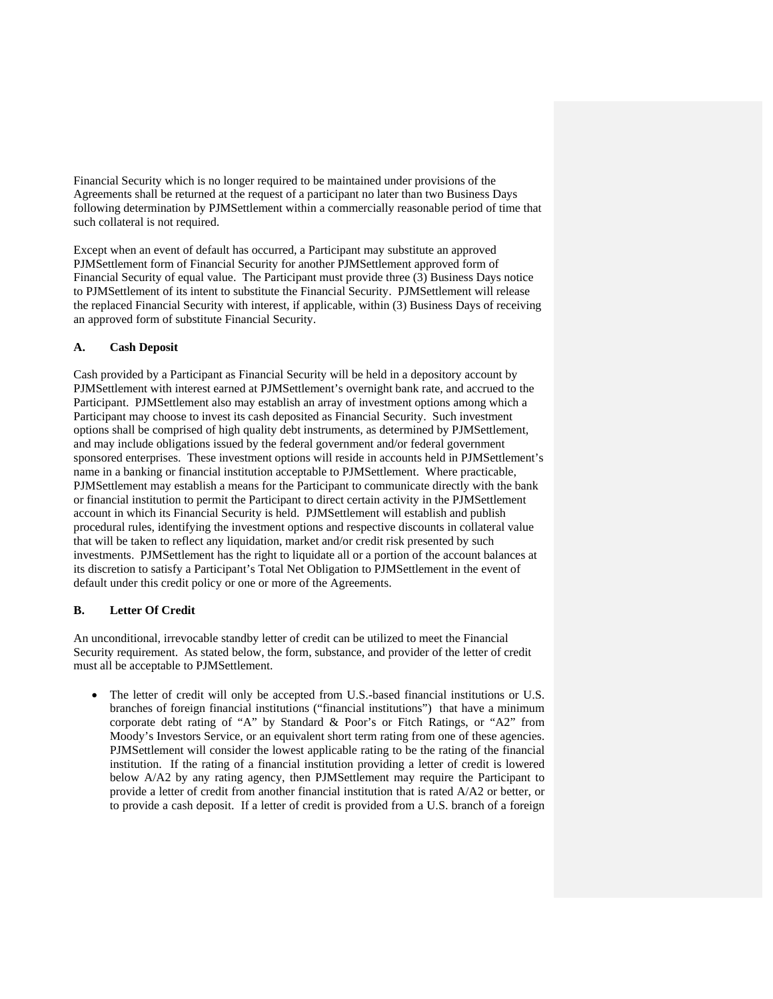Financial Security which is no longer required to be maintained under provisions of the Agreements shall be returned at the request of a participant no later than two Business Days following determination by PJMSettlement within a commercially reasonable period of time that such collateral is not required.

Except when an event of default has occurred, a Participant may substitute an approved PJMSettlement form of Financial Security for another PJMSettlement approved form of Financial Security of equal value. The Participant must provide three (3) Business Days notice to PJMSettlement of its intent to substitute the Financial Security. PJMSettlement will release the replaced Financial Security with interest, if applicable, within (3) Business Days of receiving an approved form of substitute Financial Security.

### **A. Cash Deposit**

Cash provided by a Participant as Financial Security will be held in a depository account by PJMSettlement with interest earned at PJMSettlement's overnight bank rate, and accrued to the Participant. PJMSettlement also may establish an array of investment options among which a Participant may choose to invest its cash deposited as Financial Security. Such investment options shall be comprised of high quality debt instruments, as determined by PJMSettlement, and may include obligations issued by the federal government and/or federal government sponsored enterprises. These investment options will reside in accounts held in PJMSettlement's name in a banking or financial institution acceptable to PJMSettlement. Where practicable, PJMSettlement may establish a means for the Participant to communicate directly with the bank or financial institution to permit the Participant to direct certain activity in the PJMSettlement account in which its Financial Security is held. PJMSettlement will establish and publish procedural rules, identifying the investment options and respective discounts in collateral value that will be taken to reflect any liquidation, market and/or credit risk presented by such investments. PJMSettlement has the right to liquidate all or a portion of the account balances at its discretion to satisfy a Participant's Total Net Obligation to PJMSettlement in the event of default under this credit policy or one or more of the Agreements.

### **B. Letter Of Credit**

An unconditional, irrevocable standby letter of credit can be utilized to meet the Financial Security requirement. As stated below, the form, substance, and provider of the letter of credit must all be acceptable to PJMSettlement.

 The letter of credit will only be accepted from U.S.-based financial institutions or U.S. branches of foreign financial institutions ("financial institutions") that have a minimum corporate debt rating of "A" by Standard & Poor's or Fitch Ratings, or "A2" from Moody's Investors Service, or an equivalent short term rating from one of these agencies. PJMSettlement will consider the lowest applicable rating to be the rating of the financial institution. If the rating of a financial institution providing a letter of credit is lowered below A/A2 by any rating agency, then PJMSettlement may require the Participant to provide a letter of credit from another financial institution that is rated A/A2 or better, or to provide a cash deposit. If a letter of credit is provided from a U.S. branch of a foreign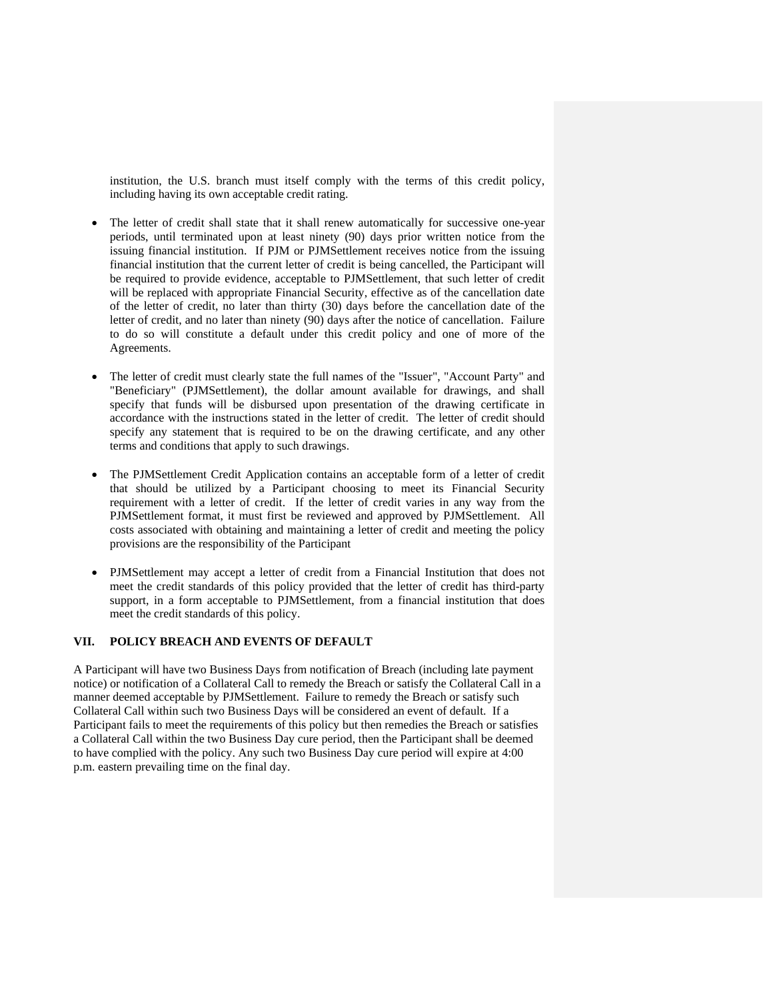institution, the U.S. branch must itself comply with the terms of this credit policy, including having its own acceptable credit rating.

- The letter of credit shall state that it shall renew automatically for successive one-year periods, until terminated upon at least ninety (90) days prior written notice from the issuing financial institution. If PJM or PJMSettlement receives notice from the issuing financial institution that the current letter of credit is being cancelled, the Participant will be required to provide evidence, acceptable to PJMSettlement, that such letter of credit will be replaced with appropriate Financial Security, effective as of the cancellation date of the letter of credit, no later than thirty (30) days before the cancellation date of the letter of credit, and no later than ninety (90) days after the notice of cancellation. Failure to do so will constitute a default under this credit policy and one of more of the Agreements.
- The letter of credit must clearly state the full names of the "Issuer", "Account Party" and "Beneficiary" (PJMSettlement), the dollar amount available for drawings, and shall specify that funds will be disbursed upon presentation of the drawing certificate in accordance with the instructions stated in the letter of credit. The letter of credit should specify any statement that is required to be on the drawing certificate, and any other terms and conditions that apply to such drawings.
- The PJMSettlement Credit Application contains an acceptable form of a letter of credit that should be utilized by a Participant choosing to meet its Financial Security requirement with a letter of credit. If the letter of credit varies in any way from the PJMSettlement format, it must first be reviewed and approved by PJMSettlement. All costs associated with obtaining and maintaining a letter of credit and meeting the policy provisions are the responsibility of the Participant
- PJMSettlement may accept a letter of credit from a Financial Institution that does not meet the credit standards of this policy provided that the letter of credit has third-party support, in a form acceptable to PJMSettlement, from a financial institution that does meet the credit standards of this policy.

### **VII. POLICY BREACH AND EVENTS OF DEFAULT**

A Participant will have two Business Days from notification of Breach (including late payment notice) or notification of a Collateral Call to remedy the Breach or satisfy the Collateral Call in a manner deemed acceptable by PJMSettlement. Failure to remedy the Breach or satisfy such Collateral Call within such two Business Days will be considered an event of default. If a Participant fails to meet the requirements of this policy but then remedies the Breach or satisfies a Collateral Call within the two Business Day cure period, then the Participant shall be deemed to have complied with the policy. Any such two Business Day cure period will expire at 4:00 p.m. eastern prevailing time on the final day.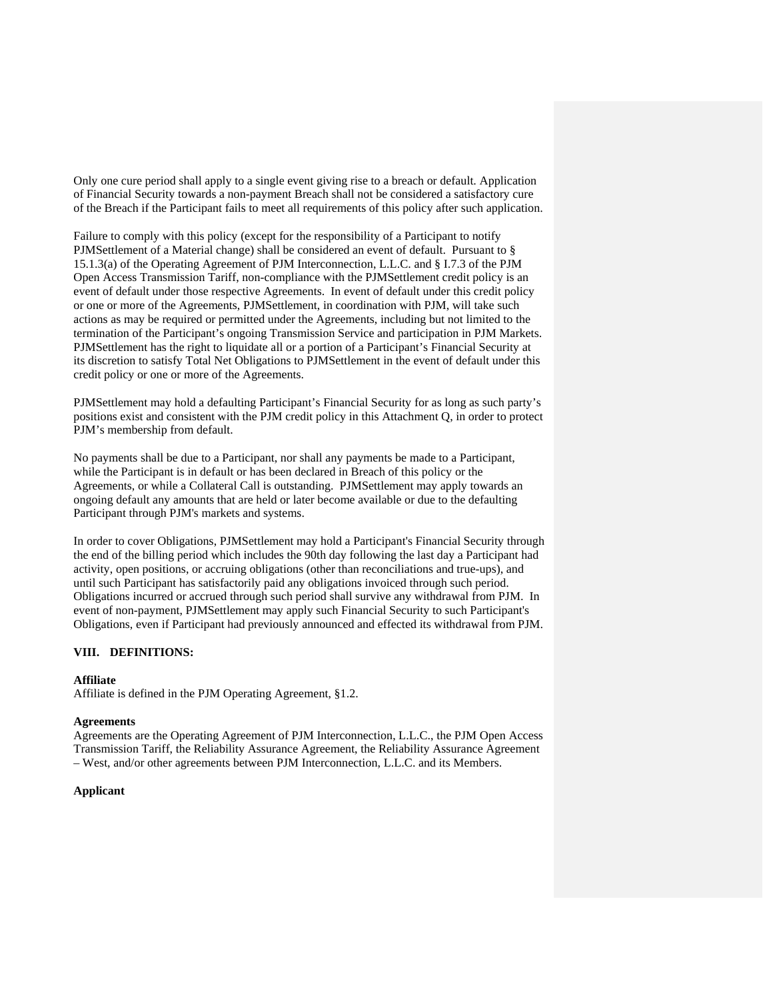Only one cure period shall apply to a single event giving rise to a breach or default. Application of Financial Security towards a non-payment Breach shall not be considered a satisfactory cure of the Breach if the Participant fails to meet all requirements of this policy after such application.

Failure to comply with this policy (except for the responsibility of a Participant to notify PJMSettlement of a Material change) shall be considered an event of default. Pursuant to § 15.1.3(a) of the Operating Agreement of PJM Interconnection, L.L.C. and § I.7.3 of the PJM Open Access Transmission Tariff, non-compliance with the PJMSettlement credit policy is an event of default under those respective Agreements. In event of default under this credit policy or one or more of the Agreements, PJMSettlement, in coordination with PJM, will take such actions as may be required or permitted under the Agreements, including but not limited to the termination of the Participant's ongoing Transmission Service and participation in PJM Markets. PJMSettlement has the right to liquidate all or a portion of a Participant's Financial Security at its discretion to satisfy Total Net Obligations to PJMSettlement in the event of default under this credit policy or one or more of the Agreements.

PJMSettlement may hold a defaulting Participant's Financial Security for as long as such party's positions exist and consistent with the PJM credit policy in this Attachment Q, in order to protect PJM's membership from default.

No payments shall be due to a Participant, nor shall any payments be made to a Participant, while the Participant is in default or has been declared in Breach of this policy or the Agreements, or while a Collateral Call is outstanding. PJMSettlement may apply towards an ongoing default any amounts that are held or later become available or due to the defaulting Participant through PJM's markets and systems.

In order to cover Obligations, PJMSettlement may hold a Participant's Financial Security through the end of the billing period which includes the 90th day following the last day a Participant had activity, open positions, or accruing obligations (other than reconciliations and true-ups), and until such Participant has satisfactorily paid any obligations invoiced through such period. Obligations incurred or accrued through such period shall survive any withdrawal from PJM. In event of non-payment, PJMSettlement may apply such Financial Security to such Participant's Obligations, even if Participant had previously announced and effected its withdrawal from PJM.

### **VIII. DEFINITIONS:**

#### **Affiliate**

Affiliate is defined in the PJM Operating Agreement, §1.2.

#### **Agreements**

Agreements are the Operating Agreement of PJM Interconnection, L.L.C., the PJM Open Access Transmission Tariff, the Reliability Assurance Agreement, the Reliability Assurance Agreement – West, and/or other agreements between PJM Interconnection, L.L.C. and its Members.

#### **Applicant**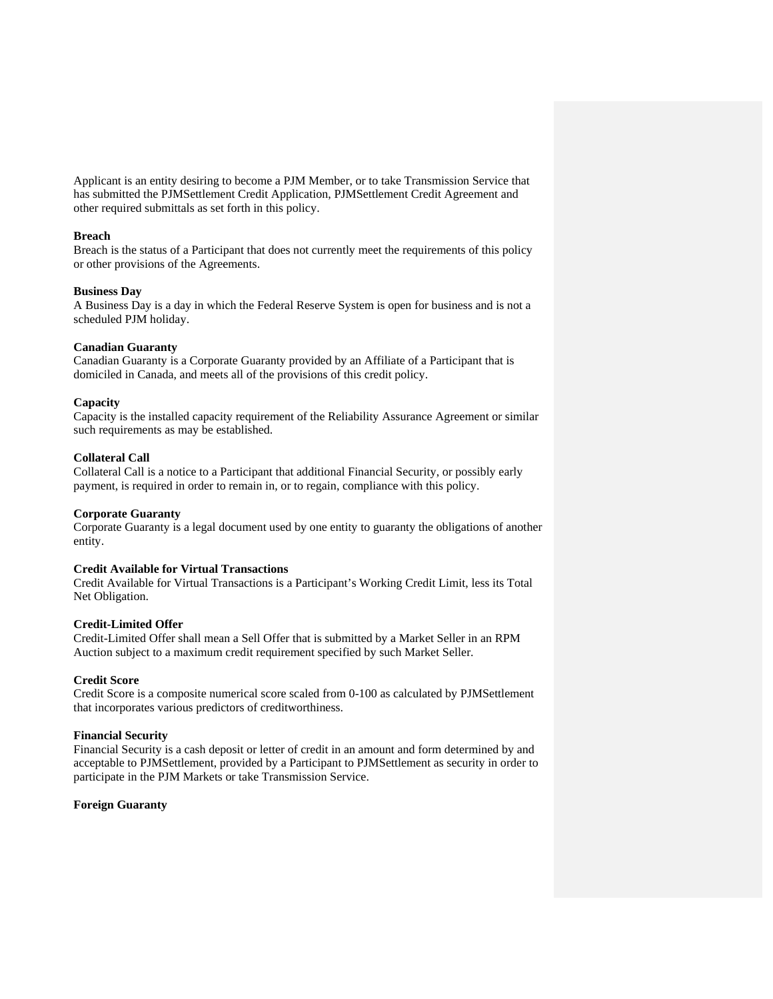Applicant is an entity desiring to become a PJM Member, or to take Transmission Service that has submitted the PJMSettlement Credit Application, PJMSettlement Credit Agreement and other required submittals as set forth in this policy.

#### **Breach**

Breach is the status of a Participant that does not currently meet the requirements of this policy or other provisions of the Agreements.

#### **Business Day**

A Business Day is a day in which the Federal Reserve System is open for business and is not a scheduled PJM holiday.

#### **Canadian Guaranty**

Canadian Guaranty is a Corporate Guaranty provided by an Affiliate of a Participant that is domiciled in Canada, and meets all of the provisions of this credit policy.

#### **Capacity**

Capacity is the installed capacity requirement of the Reliability Assurance Agreement or similar such requirements as may be established.

### **Collateral Call**

Collateral Call is a notice to a Participant that additional Financial Security, or possibly early payment, is required in order to remain in, or to regain, compliance with this policy.

### **Corporate Guaranty**

Corporate Guaranty is a legal document used by one entity to guaranty the obligations of another entity.

#### **Credit Available for Virtual Transactions**

Credit Available for Virtual Transactions is a Participant's Working Credit Limit, less its Total Net Obligation.

### **Credit-Limited Offer**

Credit-Limited Offer shall mean a Sell Offer that is submitted by a Market Seller in an RPM Auction subject to a maximum credit requirement specified by such Market Seller.

#### **Credit Score**

Credit Score is a composite numerical score scaled from 0-100 as calculated by PJMSettlement that incorporates various predictors of creditworthiness.

#### **Financial Security**

Financial Security is a cash deposit or letter of credit in an amount and form determined by and acceptable to PJMSettlement, provided by a Participant to PJMSettlement as security in order to participate in the PJM Markets or take Transmission Service.

#### **Foreign Guaranty**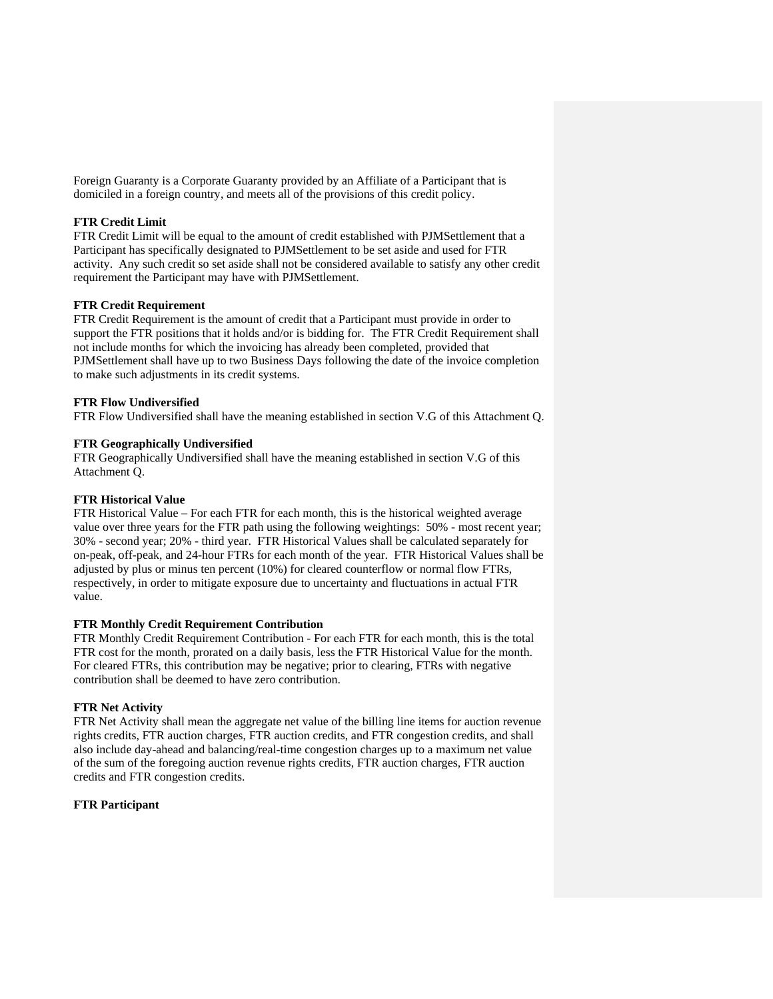Foreign Guaranty is a Corporate Guaranty provided by an Affiliate of a Participant that is domiciled in a foreign country, and meets all of the provisions of this credit policy.

### **FTR Credit Limit**

FTR Credit Limit will be equal to the amount of credit established with PJMSettlement that a Participant has specifically designated to PJMSettlement to be set aside and used for FTR activity. Any such credit so set aside shall not be considered available to satisfy any other credit requirement the Participant may have with PJMSettlement.

### **FTR Credit Requirement**

FTR Credit Requirement is the amount of credit that a Participant must provide in order to support the FTR positions that it holds and/or is bidding for. The FTR Credit Requirement shall not include months for which the invoicing has already been completed, provided that PJMSettlement shall have up to two Business Days following the date of the invoice completion to make such adjustments in its credit systems.

### **FTR Flow Undiversified**

FTR Flow Undiversified shall have the meaning established in section V.G of this Attachment Q.

### **FTR Geographically Undiversified**

FTR Geographically Undiversified shall have the meaning established in section V.G of this Attachment Q.

### **FTR Historical Value**

FTR Historical Value – For each FTR for each month, this is the historical weighted average value over three years for the FTR path using the following weightings: 50% - most recent year; 30% - second year; 20% - third year. FTR Historical Values shall be calculated separately for on-peak, off-peak, and 24-hour FTRs for each month of the year. FTR Historical Values shall be adjusted by plus or minus ten percent (10%) for cleared counterflow or normal flow FTRs, respectively, in order to mitigate exposure due to uncertainty and fluctuations in actual FTR value.

#### **FTR Monthly Credit Requirement Contribution**

FTR Monthly Credit Requirement Contribution - For each FTR for each month, this is the total FTR cost for the month, prorated on a daily basis, less the FTR Historical Value for the month. For cleared FTRs, this contribution may be negative; prior to clearing, FTRs with negative contribution shall be deemed to have zero contribution.

#### **FTR Net Activity**

FTR Net Activity shall mean the aggregate net value of the billing line items for auction revenue rights credits, FTR auction charges, FTR auction credits, and FTR congestion credits, and shall also include day-ahead and balancing/real-time congestion charges up to a maximum net value of the sum of the foregoing auction revenue rights credits, FTR auction charges, FTR auction credits and FTR congestion credits.

#### **FTR Participant**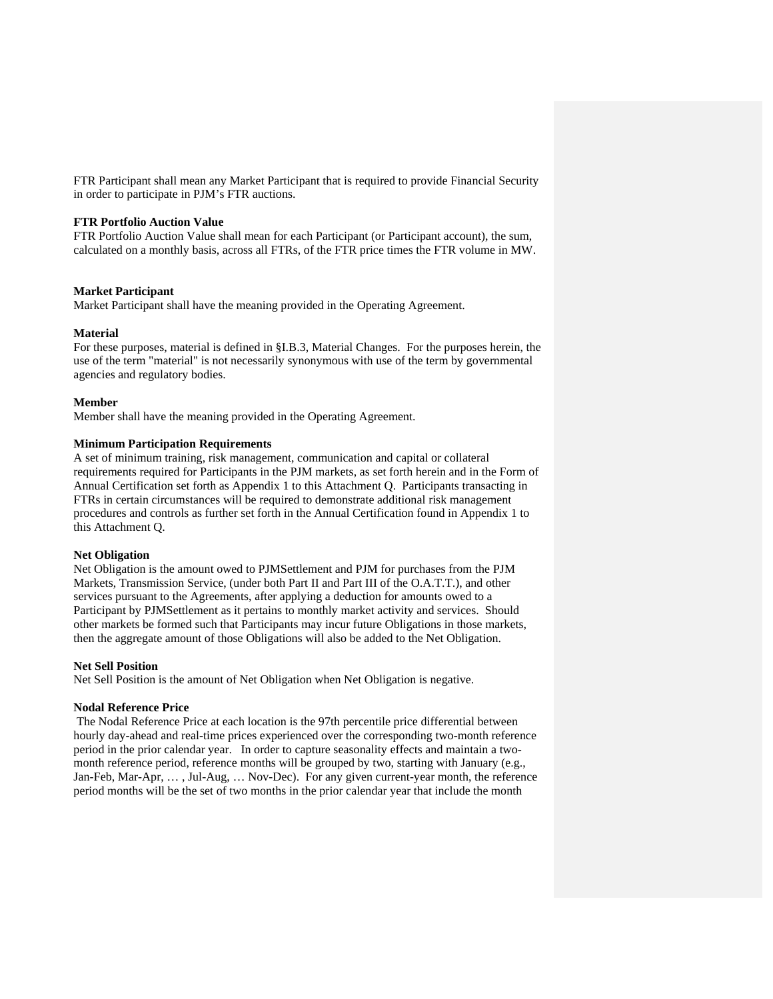FTR Participant shall mean any Market Participant that is required to provide Financial Security in order to participate in PJM's FTR auctions.

#### **FTR Portfolio Auction Value**

FTR Portfolio Auction Value shall mean for each Participant (or Participant account), the sum, calculated on a monthly basis, across all FTRs, of the FTR price times the FTR volume in MW.

#### **Market Participant**

Market Participant shall have the meaning provided in the Operating Agreement.

#### **Material**

For these purposes, material is defined in §I.B.3, Material Changes. For the purposes herein, the use of the term "material" is not necessarily synonymous with use of the term by governmental agencies and regulatory bodies.

#### **Member**

Member shall have the meaning provided in the Operating Agreement.

#### **Minimum Participation Requirements**

A set of minimum training, risk management, communication and capital or collateral requirements required for Participants in the PJM markets, as set forth herein and in the Form of Annual Certification set forth as Appendix 1 to this Attachment Q. Participants transacting in FTRs in certain circumstances will be required to demonstrate additional risk management procedures and controls as further set forth in the Annual Certification found in Appendix 1 to this Attachment Q.

#### **Net Obligation**

Net Obligation is the amount owed to PJMSettlement and PJM for purchases from the PJM Markets, Transmission Service, (under both Part II and Part III of the O.A.T.T.), and other services pursuant to the Agreements, after applying a deduction for amounts owed to a Participant by PJMSettlement as it pertains to monthly market activity and services. Should other markets be formed such that Participants may incur future Obligations in those markets, then the aggregate amount of those Obligations will also be added to the Net Obligation.

#### **Net Sell Position**

Net Sell Position is the amount of Net Obligation when Net Obligation is negative.

#### **Nodal Reference Price**

 The Nodal Reference Price at each location is the 97th percentile price differential between hourly day-ahead and real-time prices experienced over the corresponding two-month reference period in the prior calendar year. In order to capture seasonality effects and maintain a twomonth reference period, reference months will be grouped by two, starting with January (e.g., Jan-Feb, Mar-Apr, … , Jul-Aug, … Nov-Dec). For any given current-year month, the reference period months will be the set of two months in the prior calendar year that include the month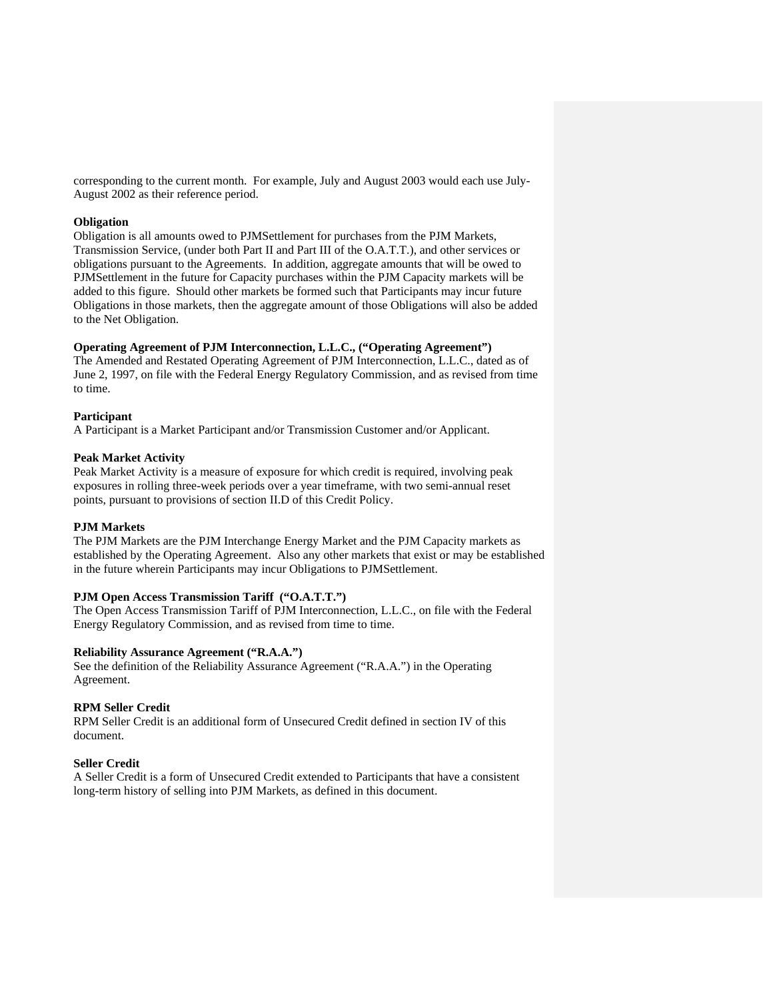corresponding to the current month. For example, July and August 2003 would each use July-August 2002 as their reference period.

#### **Obligation**

Obligation is all amounts owed to PJMSettlement for purchases from the PJM Markets, Transmission Service, (under both Part II and Part III of the O.A.T.T.), and other services or obligations pursuant to the Agreements. In addition, aggregate amounts that will be owed to PJMSettlement in the future for Capacity purchases within the PJM Capacity markets will be added to this figure. Should other markets be formed such that Participants may incur future Obligations in those markets, then the aggregate amount of those Obligations will also be added to the Net Obligation.

### **Operating Agreement of PJM Interconnection, L.L.C., ("Operating Agreement")**

The Amended and Restated Operating Agreement of PJM Interconnection, L.L.C., dated as of June 2, 1997, on file with the Federal Energy Regulatory Commission, and as revised from time to time.

### **Participant**

A Participant is a Market Participant and/or Transmission Customer and/or Applicant.

#### **Peak Market Activity**

Peak Market Activity is a measure of exposure for which credit is required, involving peak exposures in rolling three-week periods over a year timeframe, with two semi-annual reset points, pursuant to provisions of section II.D of this Credit Policy.

### **PJM Markets**

The PJM Markets are the PJM Interchange Energy Market and the PJM Capacity markets as established by the Operating Agreement. Also any other markets that exist or may be established in the future wherein Participants may incur Obligations to PJMSettlement.

## **PJM Open Access Transmission Tariff ("O.A.T.T.")**

The Open Access Transmission Tariff of PJM Interconnection, L.L.C., on file with the Federal Energy Regulatory Commission, and as revised from time to time.

#### **Reliability Assurance Agreement ("R.A.A.")**

See the definition of the Reliability Assurance Agreement ("R.A.A.") in the Operating Agreement.

### **RPM Seller Credit**

RPM Seller Credit is an additional form of Unsecured Credit defined in section IV of this document.

#### **Seller Credit**

A Seller Credit is a form of Unsecured Credit extended to Participants that have a consistent long-term history of selling into PJM Markets, as defined in this document.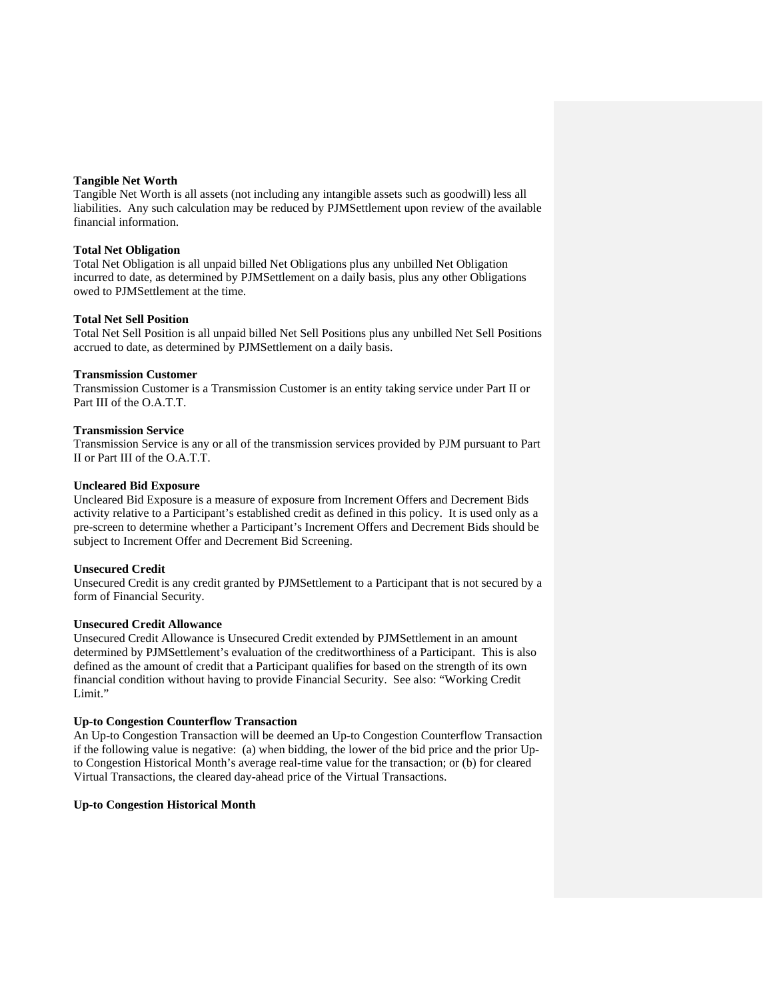### **Tangible Net Worth**

Tangible Net Worth is all assets (not including any intangible assets such as goodwill) less all liabilities. Any such calculation may be reduced by PJMSettlement upon review of the available financial information.

#### **Total Net Obligation**

Total Net Obligation is all unpaid billed Net Obligations plus any unbilled Net Obligation incurred to date, as determined by PJMSettlement on a daily basis, plus any other Obligations owed to PJMSettlement at the time.

#### **Total Net Sell Position**

Total Net Sell Position is all unpaid billed Net Sell Positions plus any unbilled Net Sell Positions accrued to date, as determined by PJMSettlement on a daily basis.

#### **Transmission Customer**

Transmission Customer is a Transmission Customer is an entity taking service under Part II or Part III of the O.A.T.T.

#### **Transmission Service**

Transmission Service is any or all of the transmission services provided by PJM pursuant to Part II or Part III of the O.A.T.T.

#### **Uncleared Bid Exposure**

Uncleared Bid Exposure is a measure of exposure from Increment Offers and Decrement Bids activity relative to a Participant's established credit as defined in this policy. It is used only as a pre-screen to determine whether a Participant's Increment Offers and Decrement Bids should be subject to Increment Offer and Decrement Bid Screening.

#### **Unsecured Credit**

Unsecured Credit is any credit granted by PJMSettlement to a Participant that is not secured by a form of Financial Security.

#### **Unsecured Credit Allowance**

Unsecured Credit Allowance is Unsecured Credit extended by PJMSettlement in an amount determined by PJMSettlement's evaluation of the creditworthiness of a Participant. This is also defined as the amount of credit that a Participant qualifies for based on the strength of its own financial condition without having to provide Financial Security. See also: "Working Credit Limit."

#### **Up-to Congestion Counterflow Transaction**

An Up-to Congestion Transaction will be deemed an Up-to Congestion Counterflow Transaction if the following value is negative: (a) when bidding, the lower of the bid price and the prior Upto Congestion Historical Month's average real-time value for the transaction; or (b) for cleared Virtual Transactions, the cleared day-ahead price of the Virtual Transactions.

#### **Up-to Congestion Historical Month**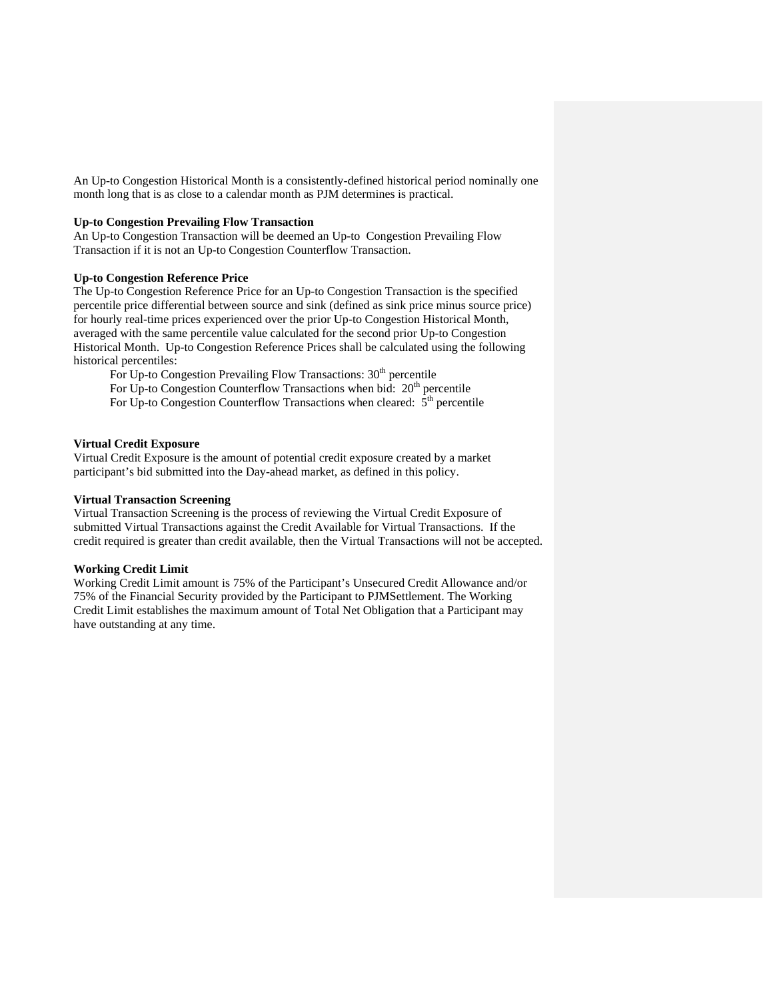An Up-to Congestion Historical Month is a consistently-defined historical period nominally one month long that is as close to a calendar month as PJM determines is practical.

#### **Up-to Congestion Prevailing Flow Transaction**

An Up-to Congestion Transaction will be deemed an Up-to Congestion Prevailing Flow Transaction if it is not an Up-to Congestion Counterflow Transaction.

### **Up-to Congestion Reference Price**

The Up-to Congestion Reference Price for an Up-to Congestion Transaction is the specified percentile price differential between source and sink (defined as sink price minus source price) for hourly real-time prices experienced over the prior Up-to Congestion Historical Month, averaged with the same percentile value calculated for the second prior Up-to Congestion Historical Month. Up-to Congestion Reference Prices shall be calculated using the following historical percentiles:

For Up-to Congestion Prevailing Flow Transactions:  $30<sup>th</sup>$  percentile For Up-to Congestion Counterflow Transactions when bid:  $20<sup>th</sup>$  percentile For Up-to Congestion Counterflow Transactions when cleared:  $\hat{5}^{th}$  percentile

### **Virtual Credit Exposure**

Virtual Credit Exposure is the amount of potential credit exposure created by a market participant's bid submitted into the Day-ahead market, as defined in this policy.

#### **Virtual Transaction Screening**

Virtual Transaction Screening is the process of reviewing the Virtual Credit Exposure of submitted Virtual Transactions against the Credit Available for Virtual Transactions. If the credit required is greater than credit available, then the Virtual Transactions will not be accepted.

#### **Working Credit Limit**

Working Credit Limit amount is 75% of the Participant's Unsecured Credit Allowance and/or 75% of the Financial Security provided by the Participant to PJMSettlement. The Working Credit Limit establishes the maximum amount of Total Net Obligation that a Participant may have outstanding at any time.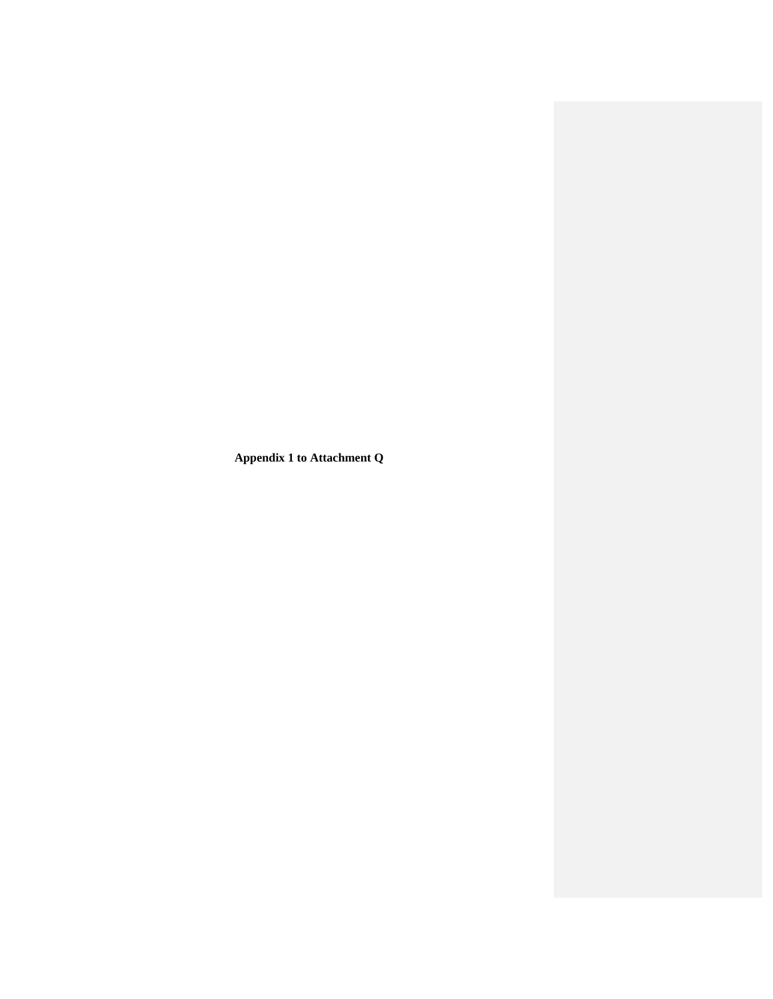**Appendix 1 to Attachment Q**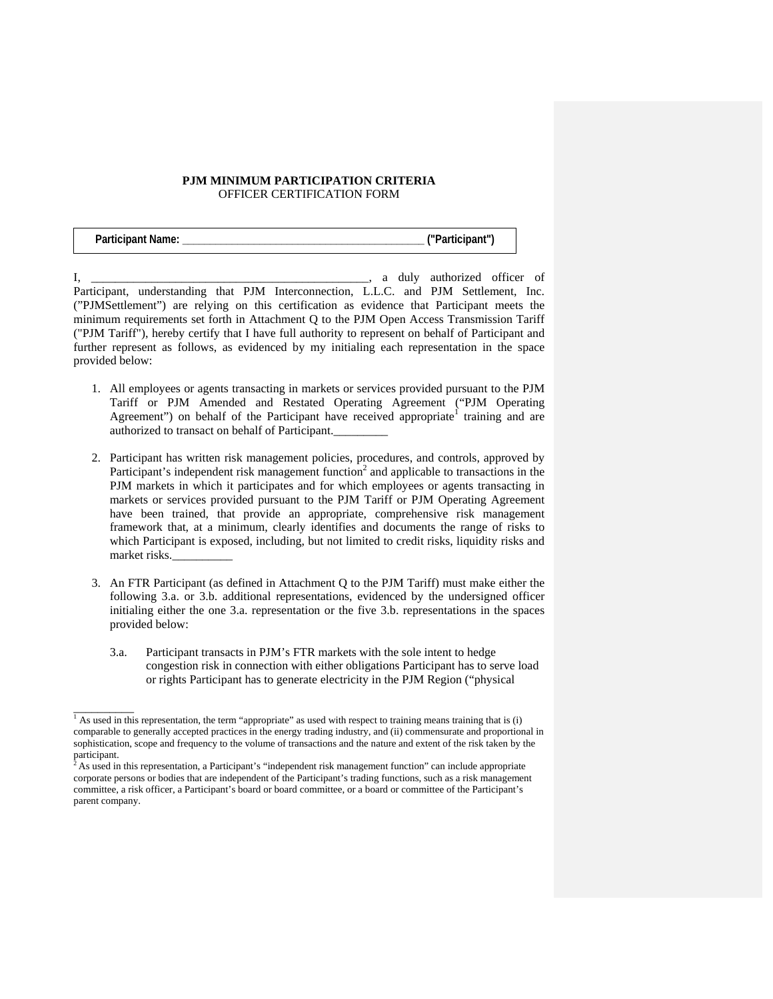## **PJM MINIMUM PARTICIPATION CRITERIA**  OFFICER CERTIFICATION FORM

| <b>Participant Name:</b> | ("Participant") |
|--------------------------|-----------------|
|--------------------------|-----------------|

 $I, \_\_$ Participant, understanding that PJM Interconnection, L.L.C. and PJM Settlement, Inc. ("PJMSettlement") are relying on this certification as evidence that Participant meets the minimum requirements set forth in Attachment Q to the PJM Open Access Transmission Tariff ("PJM Tariff"), hereby certify that I have full authority to represent on behalf of Participant and further represent as follows, as evidenced by my initialing each representation in the space provided below:

- 1. All employees or agents transacting in markets or services provided pursuant to the PJM Tariff or PJM Amended and Restated Operating Agreement ("PJM Operating Agreement") on behalf of the Participant have received appropriate<sup>1</sup> training and are authorized to transact on behalf of Participant.\_\_\_\_\_\_\_\_\_
- 2. Participant has written risk management policies, procedures, and controls, approved by Participant's independent risk management function<sup>2</sup> and applicable to transactions in the PJM markets in which it participates and for which employees or agents transacting in markets or services provided pursuant to the PJM Tariff or PJM Operating Agreement have been trained, that provide an appropriate, comprehensive risk management framework that, at a minimum, clearly identifies and documents the range of risks to which Participant is exposed, including, but not limited to credit risks, liquidity risks and market risks.\_\_\_\_\_\_\_\_\_\_
- 3. An FTR Participant (as defined in Attachment Q to the PJM Tariff) must make either the following 3.a. or 3.b. additional representations, evidenced by the undersigned officer initialing either the one 3.a. representation or the five 3.b. representations in the spaces provided below:
	- 3.a. Participant transacts in PJM's FTR markets with the sole intent to hedge congestion risk in connection with either obligations Participant has to serve load or rights Participant has to generate electricity in the PJM Region ("physical

 $\overline{\phantom{a}}$ 

 $<sup>1</sup>$  As used in this representation, the term "appropriate" as used with respect to training means training that is (i)</sup> comparable to generally accepted practices in the energy trading industry, and (ii) commensurate and proportional in sophistication, scope and frequency to the volume of transactions and the nature and extent of the risk taken by the participant.

<sup>2</sup> As used in this representation, a Participant's "independent risk management function" can include appropriate corporate persons or bodies that are independent of the Participant's trading functions, such as a risk management committee, a risk officer, a Participant's board or board committee, or a board or committee of the Participant's parent company.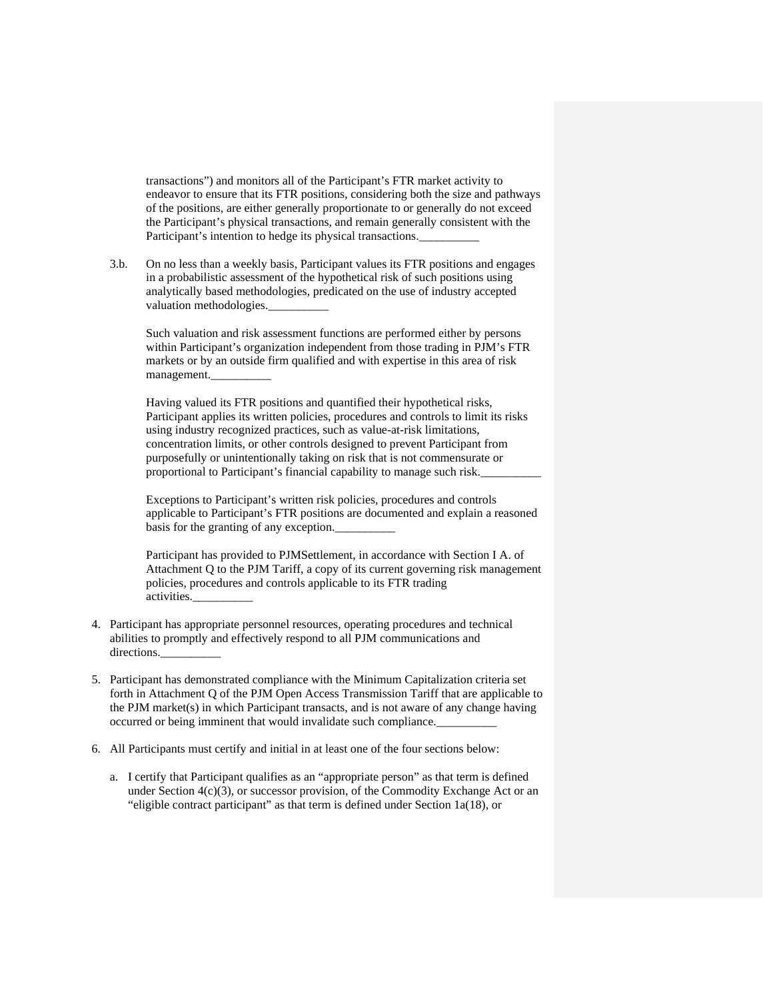transactions") and monitors all of the Participant's FTR market activity to endeavor to ensure that its FTR positions, considering both the size and pathways of the positions, are either generally proportionate to or generally do not exceed the Participant's physical transactions, and remain generally consistent with the Participant's intention to hedge its physical transactions.

3.b. On no less than a weekly basis, Participant values its FTR positions and engages in a probabilistic assessment of the hypothetical risk of such positions using analytically based methodologies, predicated on the use of industry accepted valuation methodologies.

Such valuation and risk assessment functions are performed either by persons within Participant's organization independent from those trading in PJM's FTR markets or by an outside firm qualified and with expertise in this area of risk management.\_\_\_\_\_\_\_\_\_\_

Having valued its FTR positions and quantified their hypothetical risks, Participant applies its written policies, procedures and controls to limit its risks using industry recognized practices, such as value-at-risk limitations, concentration limits, or other controls designed to prevent Participant from purposefully or unintentionally taking on risk that is not commensurate or proportional to Participant's financial capability to manage such risk.

Exceptions to Participant's written risk policies, procedures and controls applicable to Participant's FTR positions are documented and explain a reasoned basis for the granting of any exception.

Participant has provided to PJMSettlement, in accordance with Section I A. of Attachment Q to the PJM Tariff, a copy of its current governing risk management policies, procedures and controls applicable to its FTR trading activities.\_\_\_\_\_\_\_\_\_\_

- 4. Participant has appropriate personnel resources, operating procedures and technical abilities to promptly and effectively respond to all PJM communications and directions.
- 5. Participant has demonstrated compliance with the Minimum Capitalization criteria set forth in Attachment Q of the PJM Open Access Transmission Tariff that are applicable to the PJM market(s) in which Participant transacts, and is not aware of any change having occurred or being imminent that would invalidate such compliance.
- 6. All Participants must certify and initial in at least one of the four sections below:
	- a. I certify that Participant qualifies as an "appropriate person" as that term is defined under Section  $4(c)(3)$ , or successor provision, of the Commodity Exchange Act or an "eligible contract participant" as that term is defined under Section 1a(18), or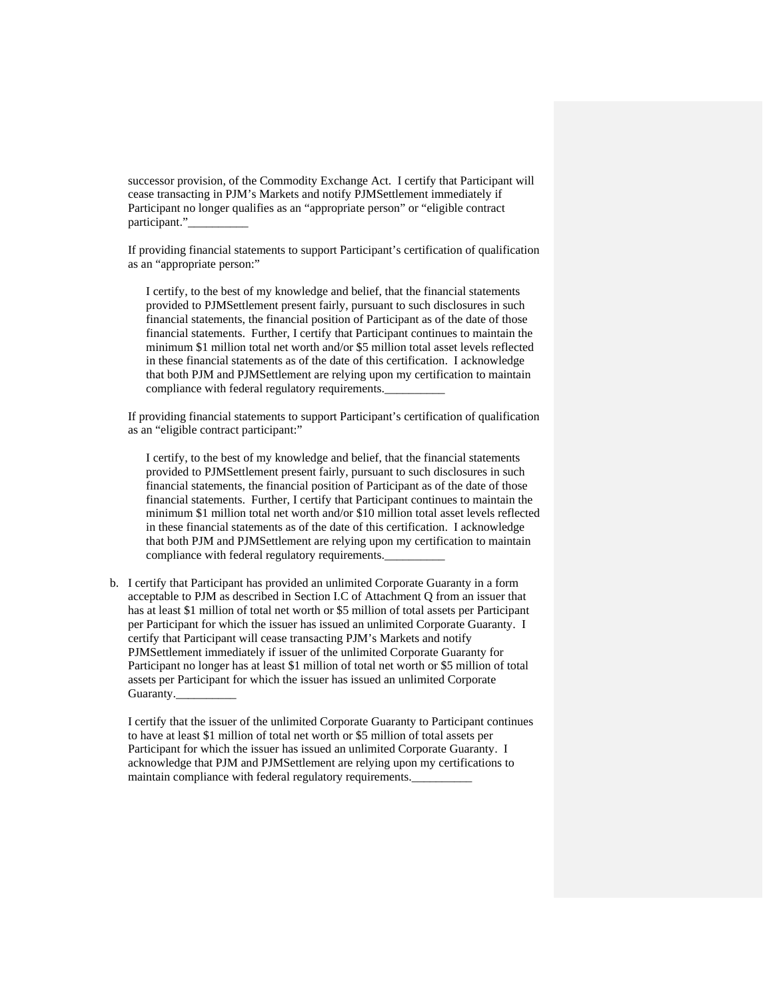successor provision, of the Commodity Exchange Act. I certify that Participant will cease transacting in PJM's Markets and notify PJMSettlement immediately if Participant no longer qualifies as an "appropriate person" or "eligible contract participant."

If providing financial statements to support Participant's certification of qualification as an "appropriate person:"

I certify, to the best of my knowledge and belief, that the financial statements provided to PJMSettlement present fairly, pursuant to such disclosures in such financial statements, the financial position of Participant as of the date of those financial statements. Further, I certify that Participant continues to maintain the minimum \$1 million total net worth and/or \$5 million total asset levels reflected in these financial statements as of the date of this certification. I acknowledge that both PJM and PJMSettlement are relying upon my certification to maintain compliance with federal regulatory requirements.

If providing financial statements to support Participant's certification of qualification as an "eligible contract participant:"

I certify, to the best of my knowledge and belief, that the financial statements provided to PJMSettlement present fairly, pursuant to such disclosures in such financial statements, the financial position of Participant as of the date of those financial statements. Further, I certify that Participant continues to maintain the minimum \$1 million total net worth and/or \$10 million total asset levels reflected in these financial statements as of the date of this certification. I acknowledge that both PJM and PJMSettlement are relying upon my certification to maintain compliance with federal regulatory requirements.

b. I certify that Participant has provided an unlimited Corporate Guaranty in a form acceptable to PJM as described in Section I.C of Attachment Q from an issuer that has at least \$1 million of total net worth or \$5 million of total assets per Participant per Participant for which the issuer has issued an unlimited Corporate Guaranty. I certify that Participant will cease transacting PJM's Markets and notify PJMSettlement immediately if issuer of the unlimited Corporate Guaranty for Participant no longer has at least \$1 million of total net worth or \$5 million of total assets per Participant for which the issuer has issued an unlimited Corporate Guaranty.

I certify that the issuer of the unlimited Corporate Guaranty to Participant continues to have at least \$1 million of total net worth or \$5 million of total assets per Participant for which the issuer has issued an unlimited Corporate Guaranty. I acknowledge that PJM and PJMSettlement are relying upon my certifications to maintain compliance with federal regulatory requirements.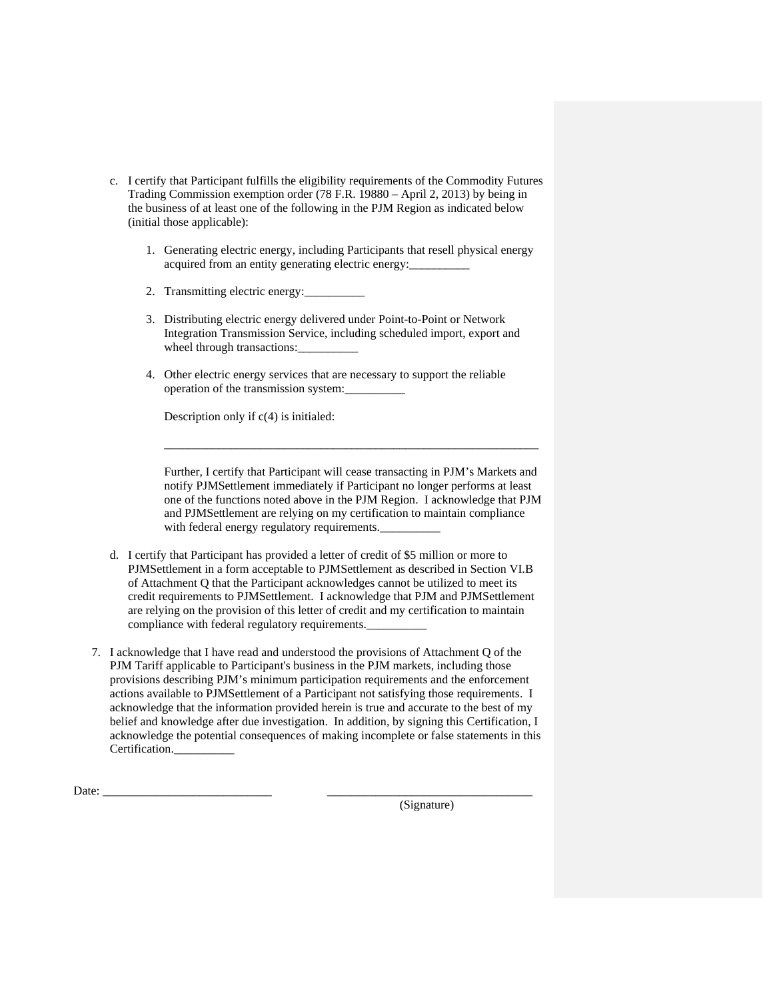- c. I certify that Participant fulfills the eligibility requirements of the Commodity Futures Trading Commission exemption order (78 F.R. 19880 – April 2, 2013) by being in the business of at least one of the following in the PJM Region as indicated below (initial those applicable):
	- 1. Generating electric energy, including Participants that resell physical energy acquired from an entity generating electric energy:
	- 2. Transmitting electric energy:
	- 3. Distributing electric energy delivered under Point-to-Point or Network Integration Transmission Service, including scheduled import, export and wheel through transactions:
	- 4. Other electric energy services that are necessary to support the reliable operation of the transmission system:\_\_\_\_\_\_\_\_\_\_

Description only if c(4) is initialed:

Further, I certify that Participant will cease transacting in PJM's Markets and notify PJMSettlement immediately if Participant no longer performs at least one of the functions noted above in the PJM Region. I acknowledge that PJM and PJMSettlement are relying on my certification to maintain compliance with federal energy regulatory requirements.

\_\_\_\_\_\_\_\_\_\_\_\_\_\_\_\_\_\_\_\_\_\_\_\_\_\_\_\_\_\_\_\_\_\_\_\_\_\_\_\_\_\_\_\_\_\_\_\_\_\_\_\_\_\_\_\_\_\_\_\_\_\_

- d. I certify that Participant has provided a letter of credit of \$5 million or more to PJMSettlement in a form acceptable to PJMSettlement as described in Section VI.B of Attachment Q that the Participant acknowledges cannot be utilized to meet its credit requirements to PJMSettlement. I acknowledge that PJM and PJMSettlement are relying on the provision of this letter of credit and my certification to maintain compliance with federal regulatory requirements.
- 7. I acknowledge that I have read and understood the provisions of Attachment Q of the PJM Tariff applicable to Participant's business in the PJM markets, including those provisions describing PJM's minimum participation requirements and the enforcement actions available to PJMSettlement of a Participant not satisfying those requirements. I acknowledge that the information provided herein is true and accurate to the best of my belief and knowledge after due investigation. In addition, by signing this Certification, I acknowledge the potential consequences of making incomplete or false statements in this Certification.

Date: \_\_\_\_\_\_\_\_\_\_\_\_\_\_\_\_\_\_\_\_\_\_\_\_\_\_\_\_ \_\_\_\_\_\_\_\_\_\_\_\_\_\_\_\_\_\_\_\_\_\_\_\_\_\_\_\_\_\_\_\_\_\_

(Signature)